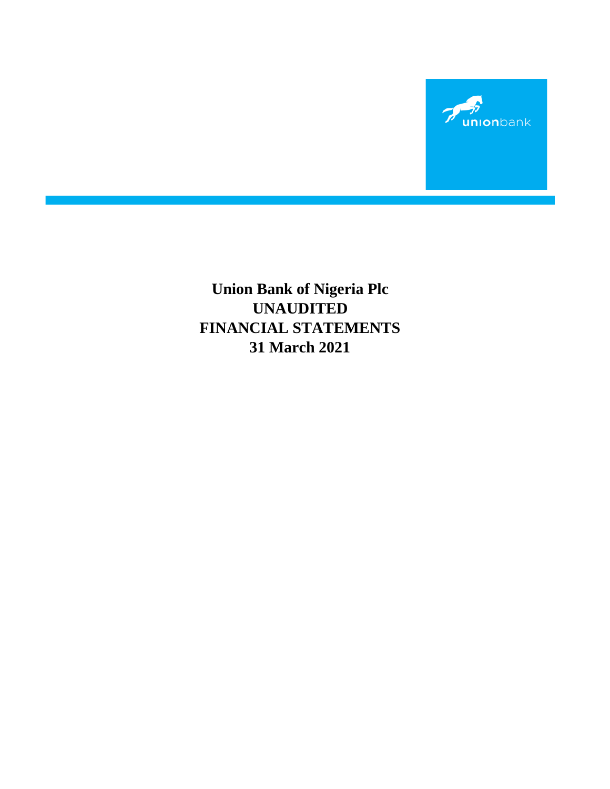

**Union Bank of Nigeria Plc FINANCIAL STATEMENTS 31 March 2021 UNAUDITED**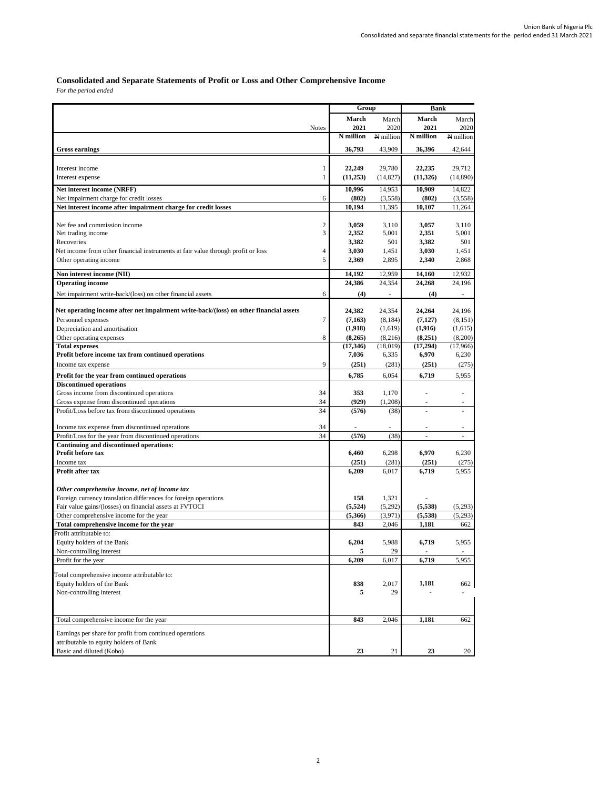# **Consolidated and Separate Statements of Profit or Loss and Other Comprehensive Income**

 $For the period ended$ 

|                                                                                                  |                | Group          |                  | <b>Bank</b>      |                |
|--------------------------------------------------------------------------------------------------|----------------|----------------|------------------|------------------|----------------|
|                                                                                                  |                | March          | March            | March            | March          |
|                                                                                                  | <b>Notes</b>   | 2021           | 2020             | 2021             | 2020           |
|                                                                                                  |                | N million      | N million        | N million        | N million      |
| <b>Gross earnings</b>                                                                            |                | 36,793         | 43,909           | 36,396           | 42,644         |
|                                                                                                  |                |                |                  |                  |                |
| Interest income                                                                                  | $\mathbf{1}$   | 22,249         | 29,780           | 22,235           | 29,712         |
| Interest expense                                                                                 | $\mathbf{1}$   | (11,253)       | (14, 827)        | (11,326)         | (14,890)       |
| Net interest income (NRFF)                                                                       |                | 10,996         | 14,953           | 10,909           | 14,822         |
| Net impairment charge for credit losses                                                          | 6              | (802)          | (3,558)          | (802)            | (3,558)        |
| Net interest income after impairment charge for credit losses                                    |                | 10,194         | 11.395           | 10,107           | 11,264         |
| Net fee and commission income                                                                    | 2              | 3,059          | 3,110            | 3,057            | 3,110          |
| Net trading income                                                                               | 3              | 2,352          | 5,001            | 2,351            | 5,001          |
| Recoveries                                                                                       |                | 3,382          | 501              | 3,382            | 501            |
| Net income from other financial instruments at fair value through profit or loss                 | $\overline{4}$ | 3,030          | 1,451            | 3,030            | 1,451          |
| Other operating income                                                                           | 5              | 2,369          | 2,895            | 2,340            | 2,868          |
| Non interest income (NII)                                                                        |                | 14,192         | 12,959           | 14,160           | 12,932         |
| <b>Operating income</b>                                                                          |                | 24,386         | 24,354           | 24,268           | 24,196         |
| Net impairment write-back/(loss) on other financial assets                                       | 6              | (4)            | ä,               | (4)              |                |
|                                                                                                  |                |                |                  |                  |                |
| Net operating income after net impairment write-back/(loss) on other financial assets            |                | 24,382         | 24,354           | 24,264           | 24,196         |
| Personnel expenses                                                                               | 7              | (7, 163)       | (8,184)          | (7,127)          | (8, 151)       |
| Depreciation and amortisation                                                                    |                | (1,918)        | (1,619)          | (1,916)          | (1,615)        |
| Other operating expenses                                                                         | 8              | (8,265)        | (8,216)          | (8,251)          | (8,200)        |
| <b>Total expenses</b><br>Profit before income tax from continued operations                      |                | (17, 346)      | (18,019)         | (17,294)         | (17,966)       |
| Income tax expense                                                                               | 9              | 7,036<br>(251) | 6,335<br>(281)   | 6,970<br>(251)   | 6,230<br>(275) |
|                                                                                                  |                |                |                  |                  |                |
| Profit for the year from continued operations<br><b>Discontinued operations</b>                  |                | 6,785          | 6,054            | 6,719            | 5,955          |
| Gross income from discontinued operations                                                        | 34             | 353            | 1,170            |                  | ۰              |
| Gross expense from discontinued operations                                                       | 34             | (929)          | (1,208)          | ä,               |                |
| Profit/Loss before tax from discontinued operations                                              | 34             | (576)          | (38)             |                  |                |
|                                                                                                  |                |                |                  |                  |                |
| Income tax expense from discontinued operations                                                  | 34             |                |                  |                  | ×,             |
| Profit/Loss for the year from discontinued operations<br>Continuing and discontinued operations: | 34             | (576)          | (38)             | ٠                | ×.             |
| Profit before tax                                                                                |                | 6,460          | 6,298            | 6,970            | 6,230          |
| Income tax                                                                                       |                | (251)          | (281)            | (251)            | (275)          |
| Profit after tax                                                                                 |                | 6,209          | 6,017            | 6,719            | 5,955          |
|                                                                                                  |                |                |                  |                  |                |
| Other comprehensive income, net of income tax                                                    |                |                |                  |                  |                |
| Foreign currency translation differences for foreign operations                                  |                | 158            | 1,321            |                  |                |
| Fair value gains/(losses) on financial assets at FVTOCI                                          |                | (5,524)        | (5,292)          | (5,538)          | (5,293)        |
| Other comprehensive income for the year<br>Total comprehensive income for the year               |                | (5,366)<br>843 | (3,971)<br>2,046 | (5,538)<br>1,181 | (5,293)<br>662 |
| Profit attributable to:                                                                          |                |                |                  |                  |                |
| Equity holders of the Bank                                                                       |                | 6,204          | 5,988            | 6,719            | 5,955          |
| Non-controlling interest                                                                         |                | 5              | 29               |                  |                |
| Profit for the year                                                                              |                | 6,209          | 6,017            | 6,719            | 5,955          |
| Total comprehensive income attributable to:                                                      |                |                |                  |                  |                |
| Equity holders of the Bank                                                                       |                | 838            | 2,017            | 1,181            | 662            |
| Non-controlling interest                                                                         |                | 5              | 29               |                  |                |
|                                                                                                  |                |                |                  |                  |                |
|                                                                                                  |                |                |                  |                  |                |
| Total comprehensive income for the year                                                          |                | 843            | 2,046            | 1,181            | 662            |
| Earnings per share for profit from continued operations                                          |                |                |                  |                  |                |
| attributable to equity holders of Bank                                                           |                |                |                  |                  |                |
| Basic and diluted (Kobo)                                                                         |                | 23             | 21               | 23               | 20             |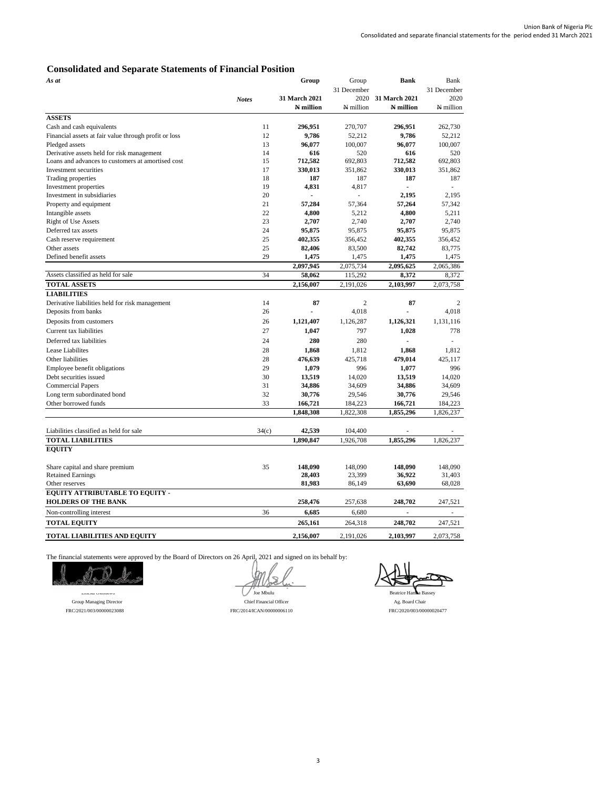# **Consolidated and Separate Statements of Financial Position**

| As at                                                 |              | Group         | Group          | <b>Bank</b>    | Bank        |
|-------------------------------------------------------|--------------|---------------|----------------|----------------|-------------|
|                                                       |              |               | 31 December    |                | 31 December |
|                                                       | <b>Notes</b> | 31 March 2021 | 2020           | 31 March 2021  | 2020        |
|                                                       |              | N million     | N million      | N million      | N million   |
| <b>ASSETS</b>                                         |              |               |                |                |             |
| Cash and cash equivalents                             | 11           | 296,951       | 270,707        | 296,951        | 262,730     |
| Financial assets at fair value through profit or loss | 12           | 9,786         | 52,212         | 9,786          | 52,212      |
| Pledged assets                                        | 13           | 96,077        | 100,007        | 96,077         | 100,007     |
| Derivative assets held for risk management            | 14           | 616           | 520            | 616            | 520         |
| Loans and advances to customers at amortised cost     | 15           | 712,582       | 692,803        | 712,582        | 692,803     |
| Investment securities                                 | 17           | 330,013       | 351,862        | 330,013        | 351,862     |
| Trading properties                                    | 18           | 187           | 187            | 187            | 187         |
| Investment properties                                 | 19           | 4,831         | 4,817          | $\overline{a}$ | ÷.          |
| Investment in subsidiaries                            | 20           |               |                | 2.195          | 2.195       |
| Property and equipment                                | 21           | 57,284        | 57,364         | 57,264         | 57,342      |
| Intangible assets                                     | 22           | 4,800         | 5,212          | 4,800          | 5,211       |
| <b>Right of Use Assets</b>                            | 23           | 2,707         | 2,740          | 2,707          | 2.740       |
| Deferred tax assets                                   | 24           | 95,875        | 95,875         | 95,875         | 95,875      |
| Cash reserve requirement                              | 25           | 402,355       | 356,452        | 402,355        | 356,452     |
| Other assets                                          | 25           | 82,406        | 83,500         | 82,742         | 83,775      |
| Defined benefit assets                                | 29           | 1,475         | 1,475          | 1,475          | 1,475       |
|                                                       |              | 2,097,945     | 2,075,734      | 2,095,625      | 2,065,386   |
| Assets classified as held for sale                    | 34           | 58,062        | 115,292        | 8,372          | 8,372       |
| <b>TOTAL ASSETS</b>                                   |              | 2,156,007     | 2,191,026      | 2,103,997      | 2,073,758   |
| <b>LIABILITIES</b>                                    |              |               |                |                |             |
| Derivative liabilities held for risk management       | 14           | 87            | $\overline{2}$ | 87             | 2           |
| Deposits from banks                                   | 26           |               | 4,018          |                | 4.018       |
| Deposits from customers                               | 26           | 1,121,407     | 1,126,287      | 1,126,321      | 1,131,116   |
| Current tax liabilities                               | 27           | 1.047         | 797            | 1.028          | 778         |
| Deferred tax liabilities                              | 24           | 280           | 280            |                |             |
| Lease Liabilites                                      | 28           | 1,868         | 1,812          | 1,868          | 1,812       |
| Other liabilities                                     | 28           | 476,639       | 425,718        | 479,014        | 425,117     |
| Employee benefit obligations                          | 29           | 1,079         | 996            | 1,077          | 996         |
| Debt securities issued                                | 30           | 13,519        | 14,020         | 13,519         | 14,020      |
| <b>Commercial Papers</b>                              | 31           | 34,886        | 34,609         | 34,886         | 34,609      |
| Long term subordinated bond                           | 32           | 30,776        | 29,546         | 30,776         | 29,546      |
| Other borrowed funds                                  | 33           | 166,721       | 184,223        | 166,721        | 184,223     |
|                                                       |              | 1,848,308     | 1,822,308      | 1,855,296      | 1,826,237   |
|                                                       |              |               |                |                |             |
| Liabilities classified as held for sale               | 34(c)        | 42,539        | 104,400        |                |             |
| <b>TOTAL LIABILITIES</b>                              |              | 1,890,847     | 1,926,708      | 1,855,296      | 1,826,237   |
| <b>EQUITY</b>                                         |              |               |                |                |             |
|                                                       |              |               |                |                |             |
| Share capital and share premium                       | 35           | 148,090       | 148,090        | 148,090        | 148,090     |
| <b>Retained Earnings</b>                              |              | 28,403        | 23,399         | 36,922         | 31,403      |
| Other reserves                                        |              | 81,983        | 86,149         | 63,690         | 68,028      |
| EQUITY ATTRIBUTABLE TO EQUITY -                       |              |               |                |                |             |
| <b>HOLDERS OF THE BANK</b>                            |              | 258,476       | 257,638        | 248,702        | 247,521     |
| Non-controlling interest                              | 36           | 6,685         | 6,680          | $\overline{a}$ | ä,          |
| <b>TOTAL EQUITY</b>                                   |              | 265,161       | 264,318        | 248,702        | 247,521     |
|                                                       |              |               |                |                |             |
| <b>TOTAL LIABILITIES AND EQUITY</b>                   |              | 2,156,007     | 2,191,026      | 2,103,997      | 2,073,758   |

The financial statements were approved by the Board of Directors on 26 April, 2021 and signed on its behalf by:

 **\_\_\_\_\_\_\_\_\_\_\_\_\_\_\_\_\_\_\_\_\_\_ \_\_\_\_\_\_\_\_\_\_\_\_\_\_\_\_\_\_\_\_\_ \_\_\_\_\_\_\_\_\_\_\_\_\_\_\_\_\_\_\_\_\_**  $\frac{1}{\sqrt{\frac{1}{\sqrt{\frac{1}{\sqrt{\frac{1}{\sqrt{\frac{1}{\sqrt{\frac{1}{\sqrt{\frac{1}{\sqrt{\frac{1}{\sqrt{\frac{1}{\sqrt{\frac{1}{\sqrt{\frac{1}{\sqrt{\frac{1}{\sqrt{\frac{1}{\sqrt{\frac{1}{\sqrt{\frac{1}{\sqrt{\frac{1}{\sqrt{\frac{1}{\sqrt{\frac{1}{\sqrt{\frac{1}{\sqrt{\frac{1}{\sqrt{\frac{1}{\sqrt{\frac{1}{\sqrt{\frac{1}{\sqrt{\frac{1}{\sqrt{\frac{1}{\sqrt{\frac{1}{\sqrt{\frac{1}{\sqrt{\frac{1}{\sqrt{\frac{1}{\sqrt{\frac{1}{\sqrt{\frac{1}{\sqrt{\frac{$ 

Group Managing Director Ag. Board Chair Chief Financial Officer Ag. Board Chair FRC/2021/003/00000023088 FRC/2014/ICAN/00000006110 FRC/2020/003/00000020477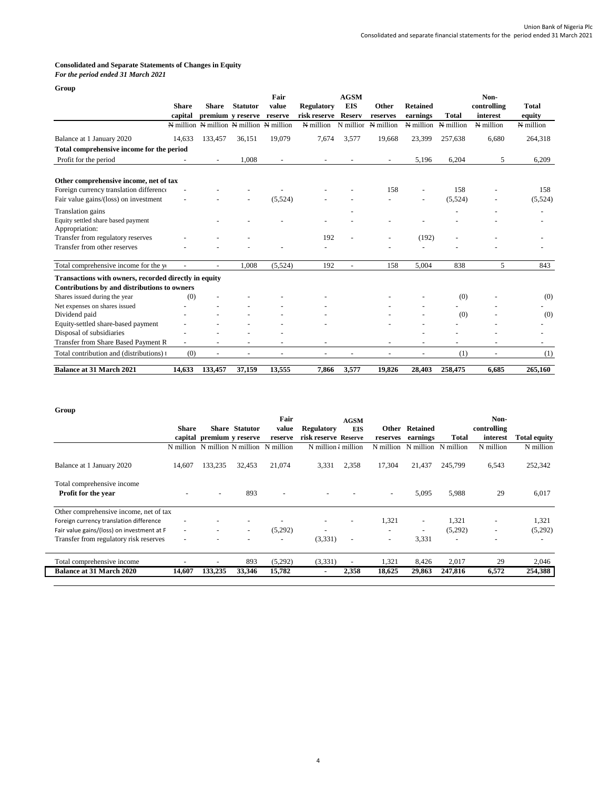# **Consolidated and Separate Statements of Changes in Equity**

## *For the period ended 31 March 2021* **Group**

| -----                                                 | <b>Share</b> | <b>Share</b>             | <b>Statutor</b>                         | Fair<br>value            | Regulatory     | <b>AGSM</b><br><b>EIS</b> | Other                    | <b>Retained</b> |              | Non-<br>controlling | <b>Total</b> |
|-------------------------------------------------------|--------------|--------------------------|-----------------------------------------|--------------------------|----------------|---------------------------|--------------------------|-----------------|--------------|---------------------|--------------|
|                                                       | capital      |                          | premium y reserve                       | reserve                  | risk reserve   | <b>Reserv</b>             | reserves                 | earnings        | <b>Total</b> | interest            | equity       |
|                                                       |              |                          | N million N million N million N million |                          | N million      | N millior                 | N million                | N million       | N million    | N million           | N million    |
| Balance at 1 January 2020                             | 14,633       | 133,457                  | 36,151                                  | 19,079                   | 7,674          | 3,577                     | 19,668                   | 23,399          | 257,638      | 6,680               | 264,318      |
| Total comprehensive income for the period             |              |                          |                                         |                          |                |                           |                          |                 |              |                     |              |
| Profit for the period                                 |              |                          | 1,008                                   |                          |                |                           |                          | 5,196           | 6,204        | 5                   | 6,209        |
| Other comprehensive income, net of tax                |              |                          |                                         |                          |                |                           |                          |                 |              |                     |              |
| Foreign currency translation difference               |              |                          |                                         |                          |                |                           | 158                      |                 | 158          |                     | 158          |
| Fair value gains/(loss) on investment                 |              |                          |                                         | (5,524)                  |                |                           |                          |                 | (5,524)      |                     | (5,524)      |
| Translation gains                                     |              |                          |                                         |                          |                |                           |                          |                 |              |                     |              |
| Equity settled share based payment                    |              |                          |                                         |                          |                |                           |                          |                 |              |                     |              |
| Appropriation:                                        |              |                          |                                         |                          |                |                           |                          |                 |              |                     |              |
| Transfer from regulatory reserves                     |              |                          |                                         |                          | 192            |                           |                          | (192)           |              |                     |              |
| Transfer from other reserves                          |              |                          |                                         |                          |                |                           |                          |                 |              |                     |              |
| Total comprehensive income for the ye                 |              |                          | 1,008                                   | (5,524)                  | 192            | $\overline{a}$            | 158                      | 5,004           | 838          | 5                   | 843          |
| Transactions with owners, recorded directly in equity |              |                          |                                         |                          |                |                           |                          |                 |              |                     |              |
| Contributions by and distributions to owners          |              |                          |                                         |                          |                |                           |                          |                 |              |                     |              |
| Shares issued during the year                         | (0)          |                          |                                         |                          |                |                           |                          |                 | (0)          |                     | (0)          |
| Net expenses on shares issued                         |              |                          |                                         |                          |                |                           |                          |                 |              |                     |              |
| Dividend paid                                         |              |                          |                                         |                          |                |                           |                          |                 | (0)          |                     | (0)          |
| Equity-settled share-based payment                    |              |                          |                                         |                          |                |                           |                          |                 |              |                     |              |
| Disposal of subsidiaries                              |              |                          |                                         |                          |                |                           |                          |                 |              |                     |              |
| Transfer from Share Based Payment R                   |              |                          |                                         |                          |                |                           |                          |                 |              |                     |              |
| Total contribution and (distributions) t              | (0)          | $\overline{\phantom{a}}$ | $\blacksquare$                          | $\overline{\phantom{a}}$ | $\blacksquare$ | $\overline{\phantom{a}}$  | $\overline{\phantom{a}}$ | $\blacksquare$  | (1)          | $\blacksquare$      | (1)          |
| <b>Balance at 31 March 2021</b>                       | 14.633       | 133,457                  | 37,159                                  | 13,555                   | 7,866          | 3,577                     | 19.826                   | 28,403          | 258,475      | 6.685               | 265,160      |

## **Group**

|                                            |        |                           |                          | Fair                                    |                          | <b>AGSM</b> |                          |                               |                          | Non-        |                     |
|--------------------------------------------|--------|---------------------------|--------------------------|-----------------------------------------|--------------------------|-------------|--------------------------|-------------------------------|--------------------------|-------------|---------------------|
|                                            | Share  |                           | <b>Share Statutor</b>    | value                                   | <b>Regulatory</b>        | <b>EIS</b>  |                          | <b>Other Retained</b>         |                          | controlling |                     |
|                                            |        | capital premium y reserve |                          | reserve                                 | risk reserve Reserve     |             | reserves                 | earnings                      | <b>Total</b>             | interest    | <b>Total equity</b> |
|                                            |        |                           |                          | N million N million N million N million | N million I million      |             |                          | N million N million N million |                          | N million   | N million           |
| Balance at 1 January 2020                  | 14,607 | 133,235                   | 32.453                   | 21,074                                  | 3,331                    | 2,358       | 17,304                   | 21,437                        | 245,799                  | 6,543       | 252,342             |
| Total comprehensive income                 |        |                           |                          |                                         |                          |             |                          |                               |                          |             |                     |
| Profit for the year                        |        | $\overline{\phantom{a}}$  | 893                      | $\overline{\phantom{a}}$                |                          |             | $\overline{\phantom{a}}$ | 5,095                         | 5,988                    | 29          | 6,017               |
| Other comprehensive income, net of tax     |        |                           |                          |                                         |                          |             |                          |                               |                          |             |                     |
| Foreign currency translation difference    |        |                           |                          |                                         | $\overline{\phantom{a}}$ |             | 1,321                    | $\overline{\phantom{a}}$      | 1,321                    | ٠           | 1,321               |
| Fair value gains/(loss) on investment at F |        |                           | $\overline{\phantom{a}}$ | (5,292)                                 | ٠                        |             | $\overline{\phantom{0}}$ | ٠                             | (5,292)                  | ٠           | (5,292)             |
| Transfer from regulatory risk reserves     |        |                           |                          |                                         | (3,331)                  |             | $\overline{\phantom{a}}$ | 3,331                         | $\overline{\phantom{0}}$ | ٠           |                     |
| Total comprehensive income                 |        |                           | 893                      | (5,292)                                 | (3,331)                  |             | 1.321                    | 8,426                         | 2,017                    | 29          | 2,046               |
| <b>Balance at 31 March 2020</b>            | 14,607 | 133,235                   | 33,346                   | 15,782                                  |                          | 2,358       | 18,625                   | 29,863                        | 247,816                  | 6,572       | 254,388             |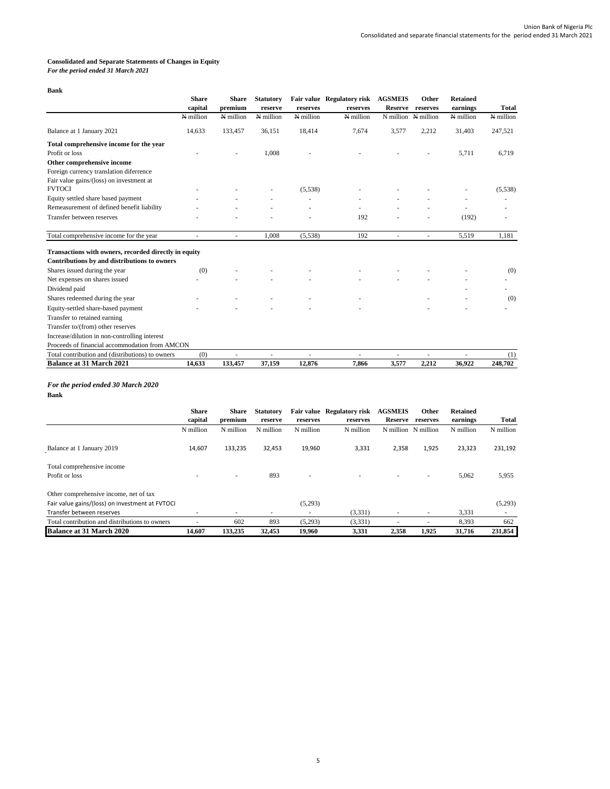# **Consolidated and Separate Statements of Changes in Equity**

*For the period ended 31 March 2021*

**Bank**

|                                                       | <b>Share</b> | <b>Share</b>             | <b>Statutory</b> |           | Fair value Regulatory risk | <b>AGSMEIS</b> | Other     | <b>Retained</b> |              |
|-------------------------------------------------------|--------------|--------------------------|------------------|-----------|----------------------------|----------------|-----------|-----------------|--------------|
|                                                       | capital      | premium                  | reserve          | reserves  | reserves                   | <b>Reserve</b> | reserves  | earnings        | <b>Total</b> |
|                                                       | N million    | N million                | N million        | N million | N million                  | N million      | N million | N million       | N million    |
| Balance at 1 January 2021                             | 14,633       | 133,457                  | 36,151           | 18,414    | 7,674                      | 3,577          | 2,212     | 31,403          | 247,521      |
| Total comprehensive income for the year               |              |                          |                  |           |                            |                |           |                 |              |
| Profit or loss                                        |              |                          | 1,008            |           |                            |                |           | 5,711           | 6,719        |
| Other comprehensive income                            |              |                          |                  |           |                            |                |           |                 |              |
| Foreign currency translation diferrence               |              |                          |                  |           |                            |                |           |                 |              |
| Fair value gains/(loss) on investment at              |              |                          |                  |           |                            |                |           |                 |              |
| <b>FVTOCI</b>                                         |              |                          |                  | (5,538)   |                            |                |           |                 | (5,538)      |
| Equity settled share based payment                    |              |                          |                  |           |                            |                |           |                 |              |
| Remeasurement of defined benefit liability            |              |                          |                  |           |                            |                |           |                 |              |
| Transfer between reserves                             |              |                          |                  |           | 192                        |                |           | (192)           |              |
| Total comprehensive income for the year               | ٠            | $\overline{\phantom{a}}$ | 1.008            | (5,538)   | 192                        | ٠              | ٠         | 5,519           | 1.181        |
|                                                       |              |                          |                  |           |                            |                |           |                 |              |
| Transactions with owners, recorded directly in equity |              |                          |                  |           |                            |                |           |                 |              |
| Contributions by and distributions to owners          |              |                          |                  |           |                            |                |           |                 |              |
| Shares issued during the year                         | (0)          |                          |                  |           |                            |                |           |                 | (0)          |
| Net expenses on shares issued                         |              |                          |                  |           |                            |                |           |                 |              |
| Dividend paid                                         |              |                          |                  |           |                            |                |           |                 |              |
| Shares redeemed during the year                       |              |                          |                  |           |                            |                |           |                 | (0)          |
| Equity-settled share-based payment                    |              |                          |                  |           |                            |                |           |                 |              |
| Transfer to retained earning                          |              |                          |                  |           |                            |                |           |                 |              |
| Transfer to/(from) other reserves                     |              |                          |                  |           |                            |                |           |                 |              |
| Increase/dilution in non-controlling interest         |              |                          |                  |           |                            |                |           |                 |              |
| Proceeds of financial accommodation from AMCON        |              |                          |                  |           |                            |                |           |                 |              |
| Total contribution and (distributions) to owners      | (0)          | ä,                       | ÷                |           | ä,                         | ٠              | ٠         |                 | (1)          |
| <b>Balance at 31 March 2021</b>                       | 14,633       | 133,457                  | 37,159           | 12.876    | 7.866                      | 3,577          | 2.212     | 36,922          | 248,702      |

# *For the period ended 30 March 2020*

**Bank**

|                                                 | <b>Share</b><br>capital | <b>Share</b><br>premium  | <b>Statutory</b><br>reserve | reserves  | Fair value Regulatory risk<br>reserves | <b>AGSMEIS</b><br><b>Reserve</b> | Other<br>reserves        | <b>Retained</b><br>earnings | <b>Total</b> |
|-------------------------------------------------|-------------------------|--------------------------|-----------------------------|-----------|----------------------------------------|----------------------------------|--------------------------|-----------------------------|--------------|
|                                                 | N million               | N million                | N million                   | N million | N million                              | N million                        | N million                | N million                   | N million    |
| Balance at 1 January 2019                       | 14,607                  | 133,235                  | 32,453                      | 19,960    | 3,331                                  | 2,358                            | 1,925                    | 23,323                      | 231,192      |
| Total comprehensive income                      |                         |                          |                             |           |                                        |                                  |                          |                             |              |
| Profit or loss                                  |                         | $\overline{\phantom{a}}$ | 893                         |           |                                        |                                  | $\overline{\phantom{a}}$ | 5,062                       | 5,955        |
| Other comprehensive income, net of tax          |                         |                          |                             |           |                                        |                                  |                          |                             |              |
| Fair value gains/(loss) on investment at FVTOCI |                         |                          |                             | (5,293)   |                                        |                                  |                          |                             | (5,293)      |
| Transfer between reserves                       |                         | $\overline{\phantom{a}}$ | ۰                           |           | (3,331)                                |                                  |                          | 3,331                       |              |
| Total contribution and distributions to owners  |                         | 602                      | 893                         | (5,293)   | (3,331)                                |                                  |                          | 8,393                       | 662          |
| <b>Balance at 31 March 2020</b>                 | 14.607                  | 133,235                  | 32,453                      | 19,960    | 3,331                                  | 2,358                            | 1,925                    | 31,716                      | 231,854      |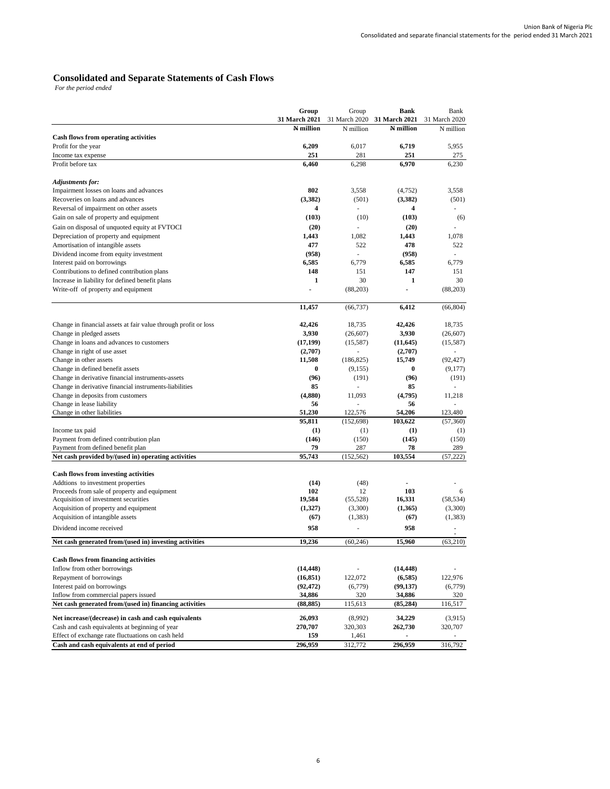## **Consolidated and Separate Statements of Cash Flows**

*For the period ended* 

|                                                                 | Group         | Group         | <b>Bank</b>              | Bank          |
|-----------------------------------------------------------------|---------------|---------------|--------------------------|---------------|
|                                                                 | 31 March 2021 | 31 March 2020 | 31 March 2021            | 31 March 2020 |
|                                                                 | N million     | N million     | N million                | N million     |
| Cash flows from operating activities                            |               |               |                          |               |
| Profit for the year                                             | 6,209         | 6,017         | 6,719                    | 5,955         |
| Income tax expense                                              | 251           | 281           | 251                      | 275           |
| Profit before tax                                               | 6,460         | 6,298         | 6,970                    | 6,230         |
|                                                                 |               |               |                          |               |
| <b>Adjustments for:</b>                                         |               |               |                          |               |
| Impairment losses on loans and advances                         | 802           | 3,558         | (4,752)                  | 3,558         |
| Recoveries on loans and advances                                | (3,382)       | (501)         | (3,382)                  | (501)         |
| Reversal of impairment on other assets                          | 4             | ÷.            | 4                        |               |
| Gain on sale of property and equipment                          | (103)         | (10)          | (103)                    | (6)           |
| Gain on disposal of unquoted equity at FVTOCI                   | (20)          | L.            | (20)                     |               |
| Depreciation of property and equipment                          | 1,443         | 1,082         | 1,443                    | 1,078         |
| Amortisation of intangible assets                               | 477           | 522           | 478                      | 522           |
| Dividend income from equity investment                          | (958)         | ÷,            | (958)                    |               |
| Interest paid on borrowings                                     | 6.585         | 6,779         | 6,585                    | 6,779         |
| Contributions to defined contribution plans                     | 148           | 151           | 147                      | 151           |
| Increase in liability for defined benefit plans                 | 1             | 30            | 1                        | 30            |
| Write-off of property and equipment                             | ÷,            | (88, 203)     | $\overline{\phantom{a}}$ | (88,203)      |
|                                                                 |               |               |                          |               |
|                                                                 | 11,457        | (66, 737)     | 6,412                    | (66, 804)     |
| Change in financial assets at fair value through profit or loss | 42,426        | 18,735        | 42,426                   | 18,735        |
| Change in pledged assets                                        | 3,930         | (26, 607)     | 3,930                    | (26, 607)     |
| Change in loans and advances to customers                       | (17, 199)     | (15,587)      | (11, 645)                | (15,587)      |
| Change in right of use asset                                    | (2,707)       |               | (2,707)                  |               |
| Change in other assets                                          | 11,508        | (186, 825)    | 15,749                   | (92, 427)     |
| Change in defined benefit assets                                | $\bf{0}$      | (9,155)       | $\bf{0}$                 | (9,177)       |
| Change in derivative financial instruments-assets               | (96)          | (191)         | (96)                     | (191)         |
| Change in derivative financial instruments-liabilities          | 85            |               | 85                       |               |
| Change in deposits from customers                               | (4,880)       | 11,093        | (4,795)                  | 11,218        |
| Change in lease liability                                       | 56            |               | 56                       |               |
| Change in other liabilities                                     | 51,230        | 122,576       | 54,206                   | 123,480       |
|                                                                 | 95,811        | (152, 698)    | 103,622                  | (57,360)      |
| Income tax paid                                                 | (1)           | (1)           | (1)                      | (1)           |
| Payment from defined contribution plan                          | (146)         | (150)         | (145)                    | (150)         |
| Payment from defined benefit plan                               | 79            | 287           | 78                       | 289           |
| Net cash provided by/(used in) operating activities             | 95,743        | (152, 562)    | 103,554                  | (57, 222)     |
|                                                                 |               |               |                          |               |
| <b>Cash flows from investing activities</b>                     |               |               |                          |               |
| Addtions to investment properties                               | (14)          | (48)          |                          |               |
| Proceeds from sale of property and equipment                    | 102           | 12            | 103                      | 6             |
| Acquisition of investment securities                            | 19,584        | (55, 528)     | 16,331                   | (58, 534)     |
| Acquisition of property and equipment                           | (1,327)       | (3,300)       | (1,365)                  | (3,300)       |
| Acquisition of intangible assets                                | (67)          | (1,383)       | (67)                     | (1, 383)      |
| Dividend income received                                        | 958           |               | 958                      |               |
| Net cash generated from/(used in) investing activities          | 19,236        | (60, 246)     | 15,960                   | (63,210)      |
|                                                                 |               |               |                          |               |
| Cash flows from financing activities                            |               |               |                          |               |
| Inflow from other borrowings                                    | (14, 448)     |               | (14, 448)                |               |
| Repayment of borrowings                                         | (16, 851)     | 122,072       | (6,585)                  | 122,976       |
| Interest paid on borrowings                                     | (92, 472)     | (6,779)       | (99, 137)                | (6,779)       |
| Inflow from commercial papers issued                            | 34,886        | 320           | 34,886                   | 320           |
| Net cash generated from/(used in) financing activities          | (88, 885)     | 115,613       | (85, 284)                | 116,517       |
|                                                                 |               |               |                          |               |
| Net increase/(decrease) in cash and cash equivalents            | 26,093        | (8,992)       | 34,229                   | (3,915)       |
| Cash and cash equivalents at beginning of year                  | 270,707       | 320,303       | 262,730                  | 320,707       |
| Effect of exchange rate fluctuations on cash held               | 159           | 1,461         | 296,959                  |               |
| Cash and cash equivalents at end of period                      | 296,959       | 312,772       |                          | 316,792       |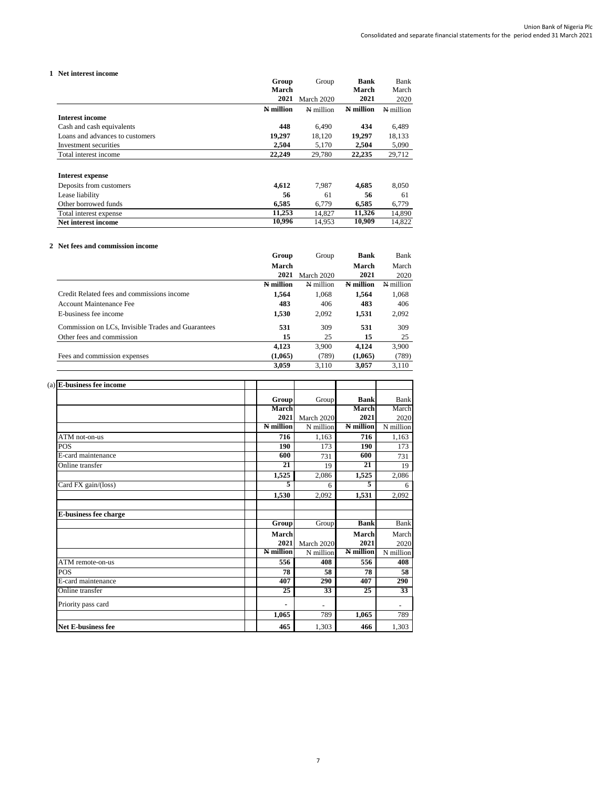## **1 Net interest income**

|                                 | Group     | Group      | Bank      | Bank      |
|---------------------------------|-----------|------------|-----------|-----------|
|                                 | March     |            | March     | March     |
|                                 | 2021      | March 2020 | 2021      | 2020      |
|                                 | N million | N million  | N million | N million |
| Interest income                 |           |            |           |           |
| Cash and cash equivalents       | 448       | 6.490      | 434       | 6,489     |
| Loans and advances to customers | 19,297    | 18,120     | 19,297    | 18,133    |
| Investment securities           | 2.504     | 5.170      | 2.504     | 5,090     |
| Total interest income           | 22,249    | 29,780     | 22,235    | 29,712    |
| <b>Interest expense</b>         |           |            |           |           |
| Deposits from customers         | 4,612     | 7,987      | 4,685     | 8,050     |
| Lease liability                 | 56        | 61         | 56        | 61        |
| Other borrowed funds            | 6,585     | 6,779      | 6,585     | 6,779     |
| Total interest expense          | 11,253    | 14,827     | 11,326    | 14,890    |
| Net interest income             | 10,996    | 14,953     | 10,909    | 14,822    |

## **2 Net fees and commission income**

|                                                    | Group     | Group      | <b>Bank</b> | Bank      |
|----------------------------------------------------|-----------|------------|-------------|-----------|
|                                                    | March     |            | March       | March     |
|                                                    | 2021      | March 2020 | 2021        | 2020      |
|                                                    | N million | N million  | N million   | N million |
| Credit Related fees and commissions income         | 1.564     | 1.068      | 1.564       | 1,068     |
| Account Maintenance Fee                            | 483       | 406        | 483         | 406       |
| E-business fee income                              | 1,530     | 2,092      | 1,531       | 2,092     |
| Commission on LCs, Invisible Trades and Guarantees | 531       | 309        | 531         | 309       |
| Other fees and commission                          | 15        | 25         | 15          | 25        |
|                                                    | 4.123     | 3.900      | 4.124       | 3,900     |
| Fees and commission expenses                       | (1.065)   | (789)      | (1.065)     | (789)     |
|                                                    | 3,059     | 3.110      | 3.057       | 3.110     |

| $(a)$ E-business fee income  |           |            |             |             |
|------------------------------|-----------|------------|-------------|-------------|
|                              | Group     | Group      | <b>Bank</b> | Bank        |
|                              | March     |            | March       | March       |
|                              | 2021      | March 2020 | 2021        | 2020        |
|                              | N million | N million  | N million   | N million   |
| ATM not-on-us                | 716       | 1,163      | 716         | 1,163       |
| <b>POS</b>                   | 190       | 173        | 190         | 173         |
| E-card maintenance           | 600       | 731        | 600         | 731         |
| Online transfer              | 21        | 19         | 21          | 19          |
|                              | 1,525     | 2,086      | 1,525       | 2,086       |
| Card FX gain/(loss)          | 5         | 6          | 5           | 6           |
|                              | 1,530     | 2.092      | 1,531       | 2,092       |
| <b>E-business fee charge</b> |           |            |             |             |
|                              | Group     | Group      | <b>Bank</b> | <b>Bank</b> |
|                              | March     |            | March       | March       |
|                              | 2021      | March 2020 | 2021        | 2020        |
|                              | N million | N million  | N million   | N million   |
| ATM remote-on-us             | 556       | 408        | 556         | 408         |
| POS                          | 78        | 58         | 78          | 58          |
| E-card maintenance           | 407       | 290        | 407         | 290         |
| Online transfer              | 25        | 33         | 25          | 33          |
| Priority pass card           |           |            |             |             |
|                              | 1,065     | 789        | 1,065       | 789         |
| <b>Net E-business fee</b>    | 465       | 1,303      | 466         | 1,303       |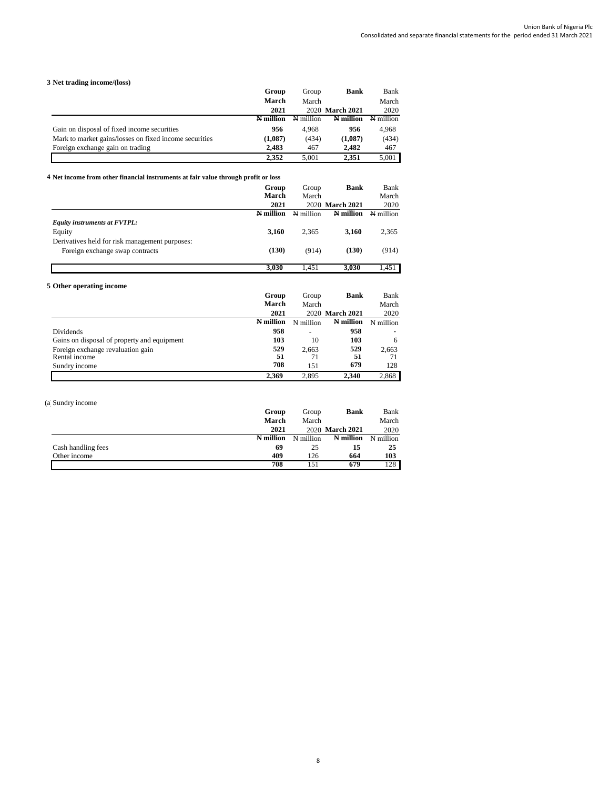# **3 Net trading income/(loss)**

|                                                        | Group     | Group     | <b>Bank</b>     | Bank      |
|--------------------------------------------------------|-----------|-----------|-----------------|-----------|
|                                                        | March     | March     |                 | March     |
|                                                        | 2021      |           | 2020 March 2021 | 2020      |
|                                                        | N million | N million | N million       | N million |
| Gain on disposal of fixed income securities            | 956       | 4.968     | 956             | 4.968     |
| Mark to market gains/losses on fixed income securities | (1,087)   | (434)     | (1,087)         | (434)     |
| Foreign exchange gain on trading                       | 2.483     | 467       | 2.482           | 467       |
|                                                        | 2.352     | 5.001     | 2.351           | 5.001     |

#### **4 Net income from other financial instruments at fair value through profit or loss**

|                                                                                   | Group<br>March | Group<br>March | <b>Bank</b>     | Bank<br>March |
|-----------------------------------------------------------------------------------|----------------|----------------|-----------------|---------------|
|                                                                                   | 2021           |                | 2020 March 2021 | 2020          |
|                                                                                   | N million      | N million      | N million       | N million     |
| Equity instruments at FVTPL:                                                      |                |                |                 |               |
| Equity                                                                            | 3,160          | 2.365          | 3,160           | 2,365         |
| Derivatives held for risk management purposes:<br>Foreign exchange swap contracts | (130)          | (914)          | (130)           | (914)         |
|                                                                                   | 3,030          | 1.451          | 3,030           | 1.451         |

# **5 Other operating income**

|                                             | Group     | Group     | <b>Bank</b>     | Bank      |
|---------------------------------------------|-----------|-----------|-----------------|-----------|
|                                             | March     | March     |                 | March     |
|                                             | 2021      |           | 2020 March 2021 | 2020      |
|                                             | N million | N million | N million       | N million |
| Dividends                                   | 958       |           | 958             |           |
| Gains on disposal of property and equipment | 103       | 10        | 103             | 6         |
| Foreign exchange revaluation gain           | 529       | 2.663     | 529             | 2,663     |
| Rental income                               | 51        | 71        | 51              | 71        |
| Sundry income                               | 708       | 151       | 679             | 128       |
|                                             | 2.369     | 2.895     | 2.340           | 2.868     |

# (a) Sundry income

|                    | Group     | Group     | <b>Bank</b>     | Bank      |
|--------------------|-----------|-----------|-----------------|-----------|
|                    | March     | March     |                 | March     |
|                    | 2021      |           | 2020 March 2021 | 2020      |
|                    | N million | N million | N million       | N million |
| Cash handling fees | 69        | 25        | 15              | 25        |
| Other income       | 409       | 126       | 664             | 103       |
|                    | 708       | 151       | 679             | 128       |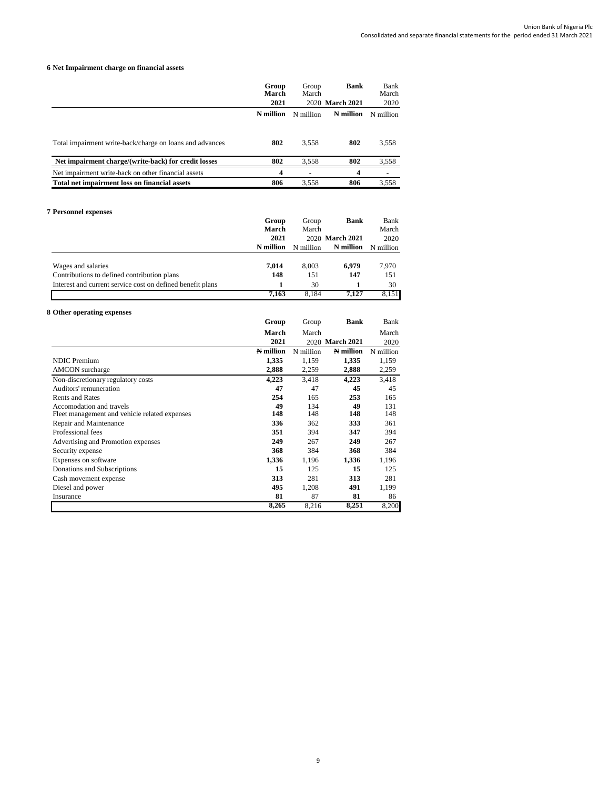## **6 Net Impairment charge on financial assets**

|                                                          | Group<br>March | Group<br>March | <b>Bank</b>     | Bank<br>March |
|----------------------------------------------------------|----------------|----------------|-----------------|---------------|
|                                                          | 2021           |                | 2020 March 2021 | 2020          |
|                                                          | N million      | N million      | N million       | N million     |
|                                                          |                |                |                 |               |
| Total impairment write-back/charge on loans and advances | 802            | 3.558          | 802             | 3,558         |
| Net impairment charge/(write-back) for credit losses     | 802            | 3.558          | 802             | 3,558         |
| Net impairment write-back on other financial assets      | 4              |                | 4               |               |
| Total net impairment loss on financial assets            | 806            | 3,558          | 806             | 3,558         |
|                                                          |                |                |                 |               |

## **7 Personnel expenses**

|                                                            | Group     | Group     | <b>Bank</b>     | Bank      |
|------------------------------------------------------------|-----------|-----------|-----------------|-----------|
|                                                            | March     | March     |                 | March     |
|                                                            | 2021      |           | 2020 March 2021 | 2020      |
|                                                            | N million | N million | N million       | N million |
|                                                            |           |           |                 |           |
| Wages and salaries                                         | 7,014     | 8.003     | 6.979           | 7,970     |
| Contributions to defined contribution plans                | 148       | 151       | 147             | 151       |
| Interest and current service cost on defined benefit plans |           | 30        |                 | 30        |
|                                                            | 7.163     | 8.184     | 7.127           | 8,151     |

| 8 Other operating expenses                    |           |           |                 |           |
|-----------------------------------------------|-----------|-----------|-----------------|-----------|
|                                               | Group     | Group     | Bank            | Bank      |
|                                               | March     | March     |                 | March     |
|                                               | 2021      |           | 2020 March 2021 | 2020      |
|                                               | N million | N million | N million       | N million |
| <b>NDIC</b> Premium                           | 1,335     | 1,159     | 1,335           | 1,159     |
| <b>AMCON</b> surcharge                        | 2,888     | 2,259     | 2,888           | 2,259     |
| Non-discretionary regulatory costs            | 4,223     | 3,418     | 4,223           | 3,418     |
| Auditors' remuneration                        | 47        | 47        | 45              | 45        |
| <b>Rents and Rates</b>                        | 254       | 165       | 253             | 165       |
| Accomodation and travels                      | 49        | 134       | 49              | 131       |
| Fleet management and vehicle related expenses | 148       | 148       | 148             | 148       |
| Repair and Maintenance                        | 336       | 362       | 333             | 361       |
| Professional fees                             | 351       | 394       | 347             | 394       |
| Advertising and Promotion expenses            | 249       | 267       | 249             | 267       |
| Security expense                              | 368       | 384       | 368             | 384       |
| Expenses on software                          | 1,336     | 1,196     | 1,336           | 1,196     |
| Donations and Subscriptions                   | 15        | 125       | 15              | 125       |
| Cash movement expense                         | 313       | 281       | 313             | 281       |
| Diesel and power                              | 495       | 1,208     | 491             | 1,199     |
| Insurance                                     | 81        | 87        | 81              | 86        |
|                                               | 8,265     | 8,216     | 8,251           | 8,200     |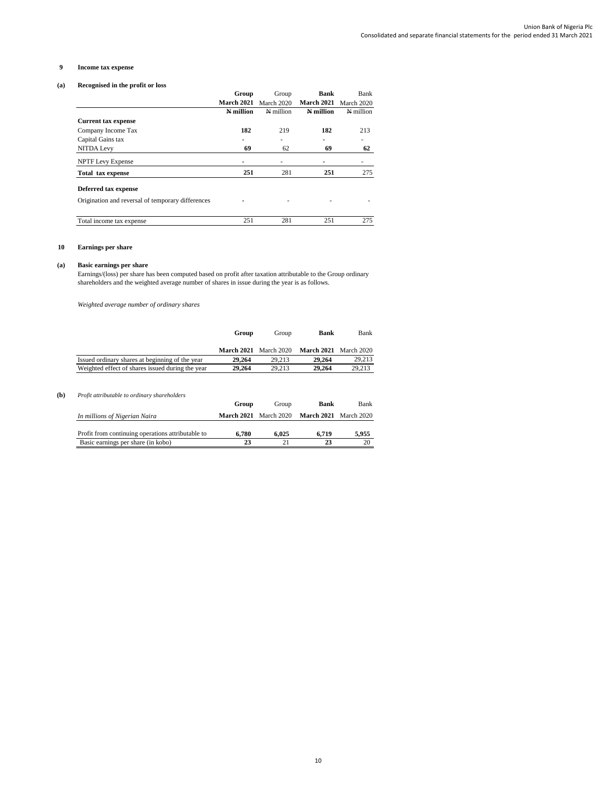## **9 Income tax expense**

## **(a) Recognised in the profit or loss**

|                                                   | Group            | Group             | Bank       | Bank       |
|---------------------------------------------------|------------------|-------------------|------------|------------|
|                                                   | March 2021       | <b>March 2020</b> | March 2021 | March 2020 |
|                                                   | <b>N</b> million | N million         | N million  | N million  |
| <b>Current tax expense</b>                        |                  |                   |            |            |
| Company Income Tax                                | 182              | 219               | 182        | 213        |
| Capital Gains tax                                 |                  | ۰                 | ۰          | ۰          |
| <b>NITDA Levy</b>                                 | 69               | 62                | 69         | 62         |
| <b>NPTF</b> Levy Expense                          |                  | ۰                 |            | ۰          |
| <b>Total tax expense</b>                          | 251              | 281               | 251        | 275        |
| Deferred tax expense                              |                  |                   |            |            |
| Origination and reversal of temporary differences |                  | ۰                 |            | ۰          |
| Total income tax expense                          | 251              | 281               | 251        | 275        |

## **10 Earnings per share**

#### **(a) Basic earnings per share**

Earnings/(loss) per share has been computed based on profit after taxation attributable to the Group ordinary shareholders and the weighted average number of shares in issue during the year is as follows.

*Weighted average number of ordinary shares*

|                                                  | Group                        | Group  | Bank                         | Bank   |
|--------------------------------------------------|------------------------------|--------|------------------------------|--------|
|                                                  | <b>March 2021</b> March 2020 |        | <b>March 2021</b> March 2020 |        |
| Issued ordinary shares at beginning of the year  | 29,264                       | 29.213 | 29,264                       | 29.213 |
| Weighted effect of shares issued during the year | 29,264                       | 29.213 | 29,264                       | 29.213 |

# **(b)** *Profit attributable to ordinary shareholders*

|                                                   | Group      | Group      | Bank       | Bank       |
|---------------------------------------------------|------------|------------|------------|------------|
| In millions of Nigerian Naira                     | March 2021 | March 2020 | March 2021 | March 2020 |
|                                                   |            |            |            |            |
| Profit from continuing operations attributable to | 6.780      | 6.025      | 6.719      | 5.955      |
| Basic earnings per share (in kobo)                | 23         |            |            |            |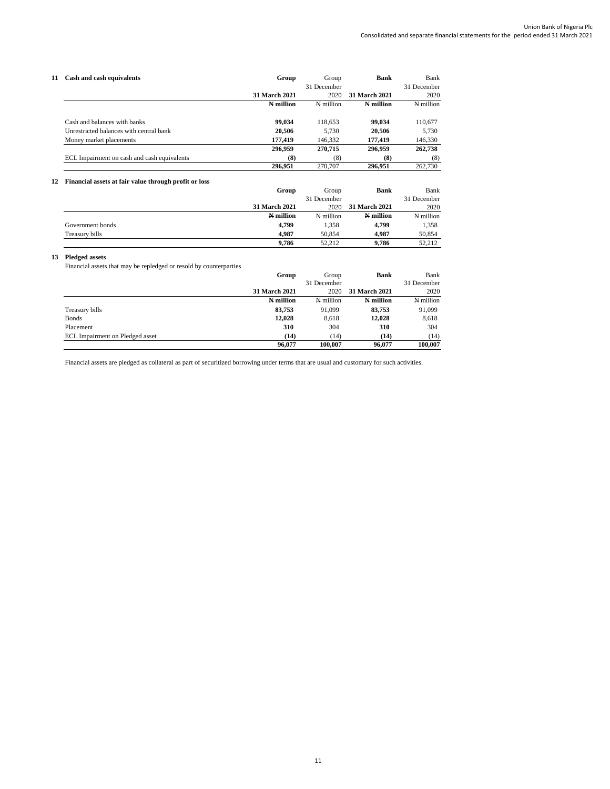| 11 - | Cash and cash equivalents                   | Group         | Group       | <b>Bank</b>          | Bank        |
|------|---------------------------------------------|---------------|-------------|----------------------|-------------|
|      |                                             |               | 31 December |                      | 31 December |
|      |                                             | 31 March 2021 | 2020        | <b>31 March 2021</b> | 2020        |
|      |                                             | N million     | N million   | N million            | N million   |
|      | Cash and balances with banks                | 99.034        | 118.653     | 99,034               | 110,677     |
|      | Unrestricted balances with central bank     | 20.506        | 5.730       | 20.506               | 5.730       |
|      | Money market placements                     | 177,419       | 146.332     | 177,419              | 146,330     |
|      |                                             | 296.959       | 270,715     | 296.959              | 262,738     |
|      | ECL Impairment on cash and cash equivalents | (8)           | (8)         | (8)                  | (8)         |
|      |                                             | 296.951       | 270,707     | 296.951              | 262,730     |

## **12 Financial assets at fair value through profit or loss**

|                  | Group         | Group       | Bank          | Bank        |
|------------------|---------------|-------------|---------------|-------------|
|                  |               | 31 December |               | 31 December |
|                  | 31 March 2021 | 2020        | 31 March 2021 | 2020        |
|                  | N million     | N million   | N million     | N million   |
| Government bonds | 4.799         | 1.358       | 4.799         | 1.358       |
| Treasury bills   | 4.987         | 50,854      | 4.987         | 50,854      |
|                  | 9.786         | 52.212      | 9.786         | 52.212      |

## **13 Pledged assets**

Financial assets that may be repledged or resold by counterparties

|                                 | Group         | Group       | <b>Bank</b>   | Bank        |
|---------------------------------|---------------|-------------|---------------|-------------|
|                                 |               | 31 December |               | 31 December |
|                                 | 31 March 2021 | 2020        | 31 March 2021 | 2020        |
|                                 | N million     | N million   | N million     | N million   |
| Treasury bills                  | 83,753        | 91,099      | 83.753        | 91,099      |
| <b>Bonds</b>                    | 12,028        | 8,618       | 12,028        | 8,618       |
| Placement                       | 310           | 304         | 310           | 304         |
| ECL Impairment on Pledged asset | (14)          | (14)        | (14)          | (14)        |
|                                 | 96,077        | 100.007     | 96,077        | 100.007     |

Financial assets are pledged as collateral as part of securitized borrowing under terms that are usual and customary for such activities.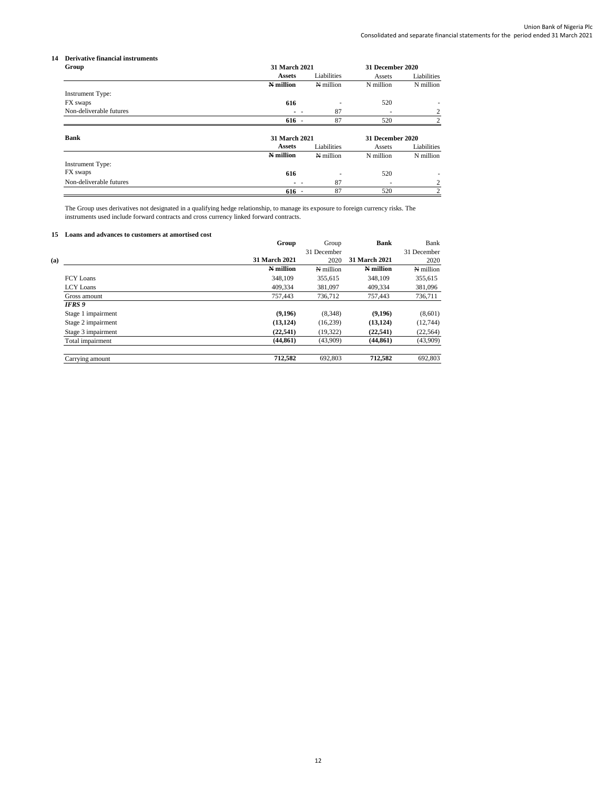## **14 Derivative financial instruments**

| Group                   | 31 March 2021                     |             | 31 December 2020 |               |  |
|-------------------------|-----------------------------------|-------------|------------------|---------------|--|
|                         | <b>Assets</b>                     | Liabilities | Assets           | Liabilities   |  |
|                         | N million                         | N million   | N million        | N million     |  |
| Instrument Type:        |                                   |             |                  |               |  |
| FX swaps                | 616                               | ۰           | 520              | ۰             |  |
| Non-deliverable futures |                                   | 87<br>- -   |                  | 2             |  |
|                         | $616 -$                           | 87          | 520              | $\mathcal{D}$ |  |
|                         |                                   |             |                  |               |  |
| <b>Bank</b>             | 31 March 2021<br>31 December 2020 |             |                  |               |  |
|                         | <b>Assets</b>                     | Liabilities | Assets           | Liabilities   |  |
|                         | N million                         | N million   | N million        | N million     |  |
| <b>Instrument Type:</b> |                                   |             |                  |               |  |
| FX swaps                | 616                               |             | 520              |               |  |
| Non-deliverable futures |                                   | 87<br>$ -$  |                  | 2             |  |
|                         | $616 -$                           | 87          | 520              | 2             |  |

The Group uses derivatives not designated in a qualifying hedge relationship, to manage its exposure to foreign currency risks. The instruments used include forward contracts and cross currency linked forward contracts.

#### **15 Loans and advances to customers at amortised cost**

| Group         | Group       | <b>Bank</b>   | Bank        |
|---------------|-------------|---------------|-------------|
|               | 31 December |               | 31 December |
| 31 March 2021 | 2020        | 31 March 2021 | 2020        |
| N million     | N million   | N million     | N million   |
| 348,109       | 355.615     | 348,109       | 355,615     |
| 409.334       | 381,097     | 409,334       | 381,096     |
| 757,443       | 736,712     | 757,443       | 736,711     |
|               |             |               |             |
| (9,196)       | (8,348)     | (9,196)       | (8,601)     |
| (13, 124)     | (16, 239)   | (13, 124)     | (12,744)    |
| (22, 541)     | (19, 322)   | (22, 541)     | (22, 564)   |
| (44, 861)     | (43,909)    | (44, 861)     | (43,909)    |
| 712.582       | 692.803     | 712.582       | 692,803     |
|               |             |               |             |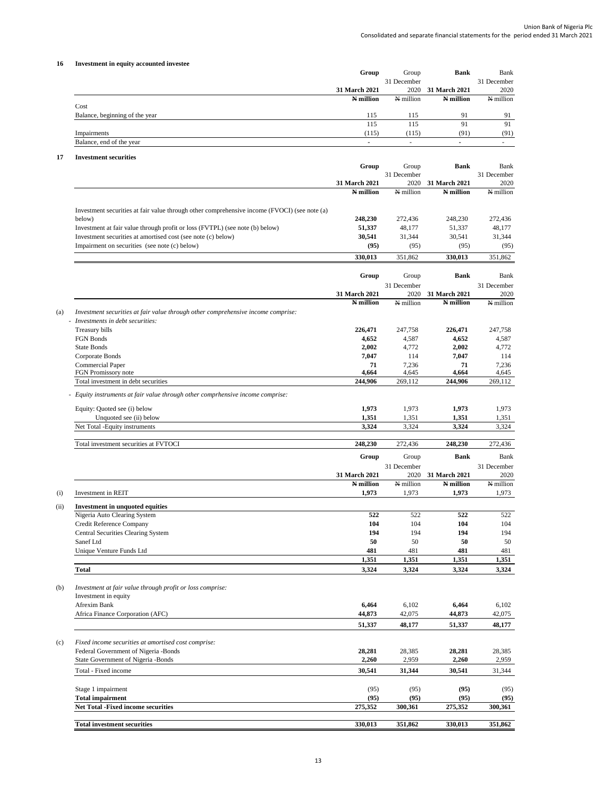## **16 Investment in equity accounted investee**

|                                | Group         | Group                    | Bank                 | Bank        |
|--------------------------------|---------------|--------------------------|----------------------|-------------|
|                                |               | 31 December              |                      | 31 December |
|                                | 31 March 2021 | 2020                     | <b>31 March 2021</b> | 2020        |
|                                | N million     | N million                | N million            | N million   |
| Cost                           |               |                          |                      |             |
| Balance, beginning of the year | 115           | 115                      | 91                   | 91          |
|                                | 115           | 115                      | 91                   | 91          |
| Impairments                    | (115)         | (115)                    | (91)                 | (91)        |
| Balance, end of the year       |               | $\overline{\phantom{a}}$ |                      |             |

# **17 Investment securities**

|                                                                                              | Group         | Group                | <b>Bank</b>   | Bank                |
|----------------------------------------------------------------------------------------------|---------------|----------------------|---------------|---------------------|
|                                                                                              |               | 31 December          |               | 31 December         |
|                                                                                              | 31 March 2021 | 2020                 | 31 March 2021 | 2020                |
|                                                                                              | N million     | N million            | $N$ million   | N million           |
| Investment securities at fair value through other comprehensive income (FVOCI) (see note (a) |               |                      |               |                     |
| below)                                                                                       | 248,230       | 272,436              | 248,230       | 272,436             |
| Investment at fair value through profit or loss (FVTPL) (see note (b) below)                 | 51,337        | 48,177               | 51,337        | 48,177              |
| Investment securities at amortised cost (see note (c) below)                                 | 30,541        | 31,344               | 30,541        | 31,344              |
| Impairment on securities (see note (c) below)                                                | (95)          | (95)                 | (95)          | (95)                |
|                                                                                              | 330,013       | 351,862              | 330,013       | 351,862             |
|                                                                                              |               |                      |               |                     |
|                                                                                              | Group         | Group<br>31 December | <b>Bank</b>   | Bank<br>31 December |
|                                                                                              | 31 March 2021 | 2020                 | 31 March 2021 | 2020                |
|                                                                                              | N million     | N million            | N million     | N million           |
| Investment securities at fair value through other comprehensive income comprise:             |               |                      |               |                     |
| - Investments in debt securities:                                                            |               |                      |               |                     |
| Treasury bills                                                                               | 226,471       | 247,758              | 226,471       | 247,758             |
| FGN Bonds                                                                                    | 4,652         | 4,587                | 4,652         | 4,587               |
| <b>State Bonds</b>                                                                           | 2,002         | 4,772                | 2,002         | 4,772               |
| Corporate Bonds                                                                              | 7,047         | 114                  | 7,047         | 114                 |
| Commercial Paper                                                                             | 71            | 7,236                | 71            | 7,236               |
| FGN Promissory note                                                                          | 4,664         | 4,645                | 4,664         | 4,645               |
| Total investment in debt securities                                                          | 244,906       | 269,112              | 244,906       | 269,112             |
| - Equity instruments at fair value through other comprhensive income comprise:               |               |                      |               |                     |
| Equity: Quoted see (i) below                                                                 | 1,973         | 1,973                | 1,973         | 1,973               |
| Unquoted see (ii) below                                                                      | 1,351         | 1,351                | 1,351         | 1,351               |
| Net Total -Equity instruments                                                                | 3,324         | 3,324                | 3,324         | 3,324               |
|                                                                                              |               |                      |               |                     |
| Total investment securities at FVTOCI                                                        | 248,230       | 272,436              | 248,230       | 272,436             |
|                                                                                              | Group         | Group                | <b>Bank</b>   | Bank                |
|                                                                                              |               | 31 December          |               | 31 December         |
|                                                                                              | 31 March 2021 | 2020                 | 31 March 2021 | 2020                |
|                                                                                              | N million     | N million            | N million     | N million           |
| Investment in REIT                                                                           | 1,973         | 1,973                | 1,973         | 1,973               |
| <b>Investment in unquoted equities</b>                                                       |               |                      |               |                     |
| Nigeria Auto Clearing System                                                                 | 522           | 522                  | 522           | 522                 |
| Credit Reference Company                                                                     | 104           | 104                  | 104           | 104                 |
| Central Securities Clearing System                                                           | 194           | 194                  | 194           | 194                 |
| Sanef Ltd                                                                                    | 50            | 50                   | 50            | 50                  |
| Unique Venture Funds Ltd                                                                     | 481           | 481                  | 481           | 481                 |
|                                                                                              | 1,351         | 1,351                | 1,351         | 1,351               |
| <b>Total</b>                                                                                 | 3,324         | 3,324                | 3,324         | 3,324               |
|                                                                                              |               |                      |               |                     |
| Investment at fair value through profit or loss comprise:<br>Investment in equity            |               |                      |               |                     |
|                                                                                              |               |                      |               |                     |
| Afrexim Bank                                                                                 | 6.464         | 6,102                | 6,464         | 6,102               |
| Africa Finance Corporation (AFC)                                                             | 44,873        | 42,075               | 44,873        | 42,075              |
|                                                                                              | 51,337        | 48,177               | 51,337        | 48,177              |
| Fixed income securities at amortised cost comprise:                                          |               |                      |               |                     |
| Federal Government of Nigeria -Bonds                                                         | 28,281        | 28,385               | 28,281        | 28,385              |
| State Government of Nigeria -Bonds                                                           | 2,260         | 2,959                | 2,260         | 2,959               |
| Total - Fixed income                                                                         | 30,541        | 31,344               | 30,541        | 31,344              |
|                                                                                              |               |                      |               |                     |
| Stage 1 impairment                                                                           | (95)          | (95)                 | (95)          | (95)                |
| <b>Total impairment</b>                                                                      | (95)          | (95)                 | (95)          | (95)                |
| Net Total -Fixed income securities                                                           | 275,352       | 300,361              | 275,352       | 300,361             |
|                                                                                              |               | 351,862              | 330,013       |                     |
| <b>Total investment securities</b>                                                           | 330,013       |                      |               | 351,862             |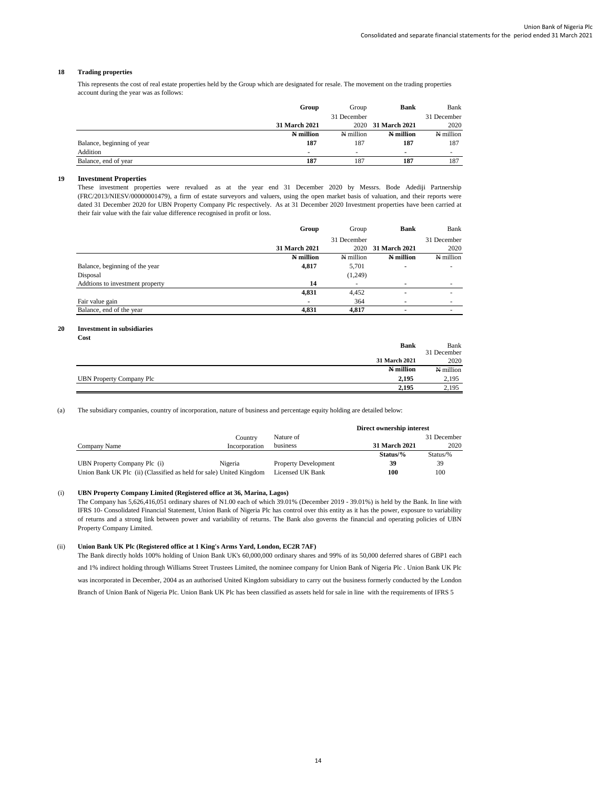#### **18 Trading properties**

This represents the cost of real estate properties held by the Group which are designated for resale. The movement on the trading properties account during the year was as follows:

|                            | Group         | Group       | <b>Bank</b>        | Bank        |
|----------------------------|---------------|-------------|--------------------|-------------|
|                            |               | 31 December |                    | 31 December |
|                            | 31 March 2021 |             | 2020 31 March 2021 | 2020        |
|                            | N million     | N million   | N million          | N million   |
| Balance, beginning of year | 187           | 187         | 187                | 187         |
| Addition                   |               |             |                    | $\sim$      |
| Balance, end of year       | 187           | 187         | 187                | 187         |

#### **19 Investment Properties**

These investment properties were revalued as at the year end 31 December 2020 by Messrs. Bode Adediji Partnership (FRC/2013/NIESV/00000001479), a firm of estate surveyors and valuers, using the open market basis of valuation, and their reports were dated 31 December 2020 for UBN Property Company Plc respectively. As at 31 December 2020 Investment properties have been carried at their fair value with the fair value difference recognised in profit or loss.

|                                 | Group         | Group       | <b>Bank</b>              | Bank        |
|---------------------------------|---------------|-------------|--------------------------|-------------|
|                                 |               | 31 December |                          | 31 December |
|                                 | 31 March 2021 | 2020        | <b>31 March 2021</b>     | 2020        |
|                                 | N million     | N million   | N million                | N million   |
| Balance, beginning of the year  | 4,817         | 5,701       | $\overline{\phantom{a}}$ | ۰           |
| Disposal                        |               | (1,249)     |                          |             |
| Addtions to investment property | 14            | ۰           | $\overline{\phantom{a}}$ | ۰           |
|                                 | 4,831         | 4,452       | $\blacksquare$           | ۰           |
| Fair value gain                 |               | 364         |                          | ۰           |
| Balance, end of the year        | 4,831         | 4.817       | $\overline{\phantom{a}}$ | ۰           |

#### **20 Investment in subsidiaries**

| Cost                                     |             |
|------------------------------------------|-------------|
| <b>Bank</b>                              | Bank        |
|                                          | 31 December |
| 31 March 2021                            | 2020        |
| N million                                | N million   |
| 2.195<br><b>UBN Property Company Plc</b> | 2.195       |
| 2.195                                    | 2.195       |

(a) The subsidiary companies, country of incorporation, nature of business and percentage equity holding are detailed below:

|                                                                     |               |                             | Direct ownership interest |             |
|---------------------------------------------------------------------|---------------|-----------------------------|---------------------------|-------------|
|                                                                     | Country       | Nature of                   |                           | 31 December |
| Company Name                                                        | Incorporation | business                    | <b>31 March 2021</b>      | 2020        |
|                                                                     |               |                             | $Status\%$                | Status/%    |
| UBN Property Company Plc (i)                                        | Nigeria       | <b>Property Development</b> | 39                        | 39          |
| Union Bank UK Plc (ii) (Classified as held for sale) United Kingdom |               | Licensed UK Bank            | 100                       | 100         |

## (i) **UBN Property Company Limited (Registered office at 36, Marina, Lagos)**

The Company has 5,626,416,051 ordinary shares of N1.00 each of which 39.01% (December 2019 - 39.01%) is held by the Bank. In line with IFRS 10- Consolidated Financial Statement, Union Bank of Nigeria Plc has control over this entity as it has the power, exposure to variability of returns and a strong link between power and variability of returns. The Bank also governs the financial and operating policies of UBN Property Company Limited.

#### (ii) **Union Bank UK Plc (Registered office at 1 King's Arms Yard, London, EC2R 7AF)**

The Bank directly holds 100% holding of Union Bank UK's 60,000,000 ordinary shares and 99% of its 50,000 deferred shares of GBP1 each and 1% indirect holding through Williams Street Trustees Limited, the nominee company for Union Bank of Nigeria Plc . Union Bank UK Plc was incorporated in December, 2004 as an authorised United Kingdom subsidiary to carry out the business formerly conducted by the London Branch of Union Bank of Nigeria Plc. Union Bank UK Plc has been classified as assets held for sale in line with the requirements of IFRS 5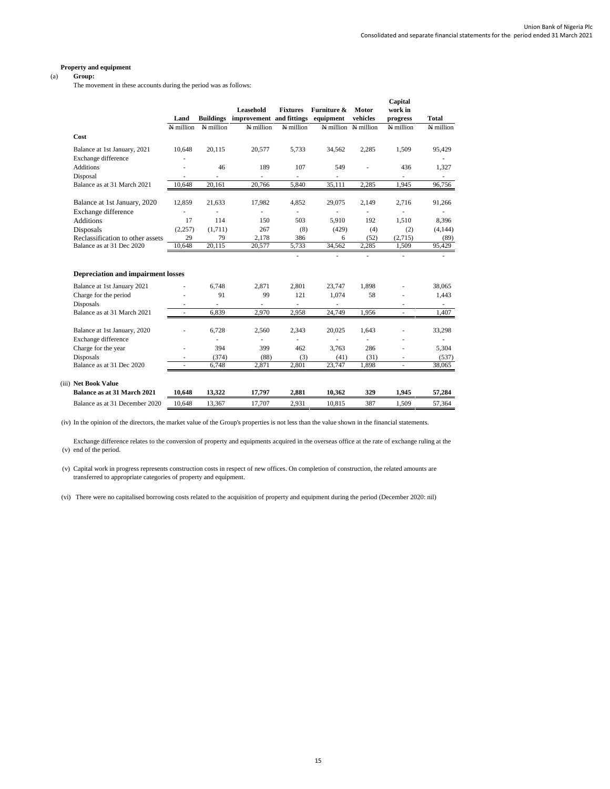#### **Property and equipment**

## (a) **Group:**

The movement in these accounts during the period was as follows:

|                                           | Land      |           | Leasehold<br><b>Buildings</b> improvement and fittings | <b>Fixtures</b>          | Furniture &<br>equipment | Motor<br>vehicles   | Capital<br>work in<br>progress | Total                    |
|-------------------------------------------|-----------|-----------|--------------------------------------------------------|--------------------------|--------------------------|---------------------|--------------------------------|--------------------------|
|                                           | N million | N million | N million                                              | N million                |                          | N million N million | N million                      | N million                |
| Cost                                      |           |           |                                                        |                          |                          |                     |                                |                          |
| Balance at 1st January, 2021              | 10,648    | 20.115    | 20,577                                                 | 5.733                    | 34.562                   | 2,285               | 1.509                          | 95,429                   |
| Exchange difference                       |           |           |                                                        |                          |                          |                     |                                |                          |
| <b>Additions</b>                          |           | 46        | 189                                                    | 107                      | 549                      |                     | 436                            | 1,327                    |
| Disposal                                  | ٠         |           | $\overline{\phantom{a}}$                               | $\overline{\phantom{a}}$ | $\overline{\phantom{a}}$ |                     |                                | $\overline{\phantom{a}}$ |
| Balance as at 31 March 2021               | 10.648    | 20,161    | 20,766                                                 | 5,840                    | 35,111                   | 2,285               | 1,945                          | 96,756                   |
| Balance at 1st January, 2020              | 12.859    | 21.633    | 17,982                                                 | 4,852                    | 29,075                   | 2.149               | 2.716                          | 91,266                   |
| Exchange difference                       |           |           |                                                        | ٠                        |                          |                     |                                |                          |
| <b>Additions</b>                          | 17        | 114       | 150                                                    | 503                      | 5,910                    | 192                 | 1,510                          | 8,396                    |
| Disposals                                 | (2,257)   | (1,711)   | 267                                                    | (8)                      | (429)                    | (4)                 | (2)                            | (4,144)                  |
| Reclassification to other assets          | 29        | 79        | 2,178                                                  | 386                      | 6                        | (52)                | (2,715)                        | (89)                     |
| Balance as at 31 Dec 2020                 | 10,648    | 20,115    | 20,577                                                 | 5,733                    | 34,562                   | 2,285               | 1,509                          | 95,429                   |
|                                           |           |           |                                                        |                          | ä,                       |                     | ä,                             |                          |
| <b>Depreciation and impairment losses</b> |           |           |                                                        |                          |                          |                     |                                |                          |
| Balance at 1st January 2021               |           | 6.748     | 2.871                                                  | 2,801                    | 23,747                   | 1.898               |                                | 38,065                   |
| Charge for the period                     |           | 91        | 99                                                     | 121                      | 1.074                    | 58                  |                                | 1,443                    |
| <b>Disposals</b>                          |           |           |                                                        |                          |                          |                     |                                |                          |
| Balance as at 31 March 2021               | ÷         | 6.839     | 2,970                                                  | 2,958                    | 24,749                   | 1,956               | ٠                              | 1,407                    |
| Balance at 1st January, 2020              |           | 6,728     | 2,560                                                  | 2,343                    | 20,025                   | 1,643               |                                | 33,298                   |
| Exchange difference                       |           | ä,        | ä,                                                     |                          | ٠                        |                     |                                |                          |
| Charge for the year                       |           | 394       | 399                                                    | 462                      | 3,763                    | 286                 |                                | 5,304                    |
| <b>Disposals</b>                          |           | (374)     | (88)                                                   | (3)                      | (41)                     | (31)                |                                | (537)                    |
| Balance as at 31 Dec 2020                 |           | 6.748     | 2.871                                                  | 2.801                    | 23,747                   | 1.898               | à.                             | 38,065                   |
| (iii) Net Book Value                      |           |           |                                                        |                          |                          |                     |                                |                          |
| Balance as at 31 March 2021               | 10,648    | 13,322    | 17,797                                                 | 2,881                    | 10,362                   | 329                 | 1,945                          | 57,284                   |
| Balance as at 31 December 2020            | 10.648    | 13,367    | 17,707                                                 | 2.931                    | 10.815                   | 387                 | 1.509                          | 57,364                   |

(iv) In the opinion of the directors, the market value of the Group's properties is not less than the value shown in the financial statements.

(v) end of the period. Exchange difference relates to the conversion of property and equipments acquired in the overseas office at the rate of exchange ruling at the

(v) Capital work in progress represents construction costs in respect of new offices. On completion of construction, the related amounts are transferred to appropriate categories of property and equipment.

(vi) There were no capitalised borrowing costs related to the acquisition of property and equipment during the period (December 2020: nil)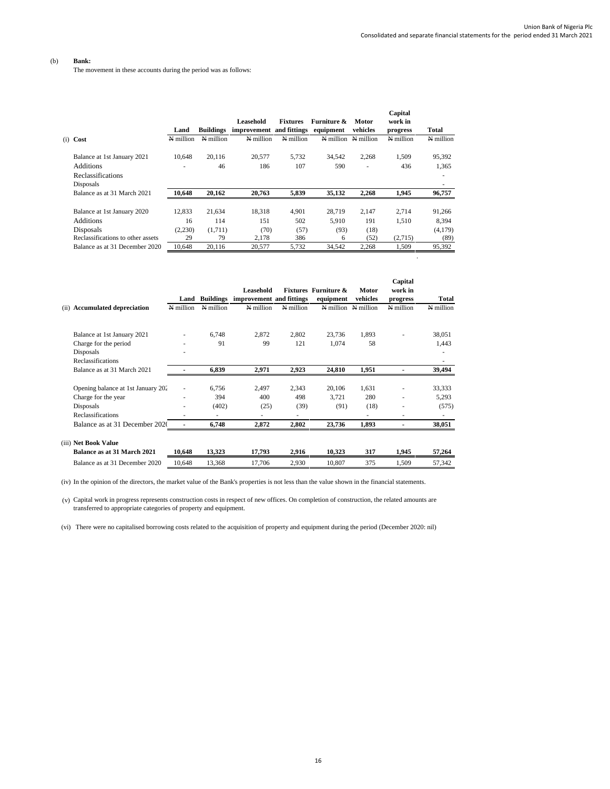.

## (b) **Bank:**

The movement in these accounts during the period was as follows:

|                                   | Land      | <b>Buildings</b> | Leasehold<br>improvement and fittings | <b>Fixtures</b> | Furniture &<br>equipment | Motor<br>vehicles | Capital<br>work in<br>progress | Total     |
|-----------------------------------|-----------|------------------|---------------------------------------|-----------------|--------------------------|-------------------|--------------------------------|-----------|
| (i) Cost                          | N million | N million        | N million                             | N million       | N million                | N million         | N million                      | N million |
| Balance at 1st January 2021       | 10.648    | 20.116           | 20,577                                | 5.732           | 34,542                   | 2,268             | 1,509                          | 95,392    |
| <b>Additions</b>                  |           | 46               | 186                                   | 107             | 590                      |                   | 436                            | 1,365     |
| <b>Reclassifications</b>          |           |                  |                                       |                 |                          |                   |                                | ۰         |
| Disposals                         |           |                  |                                       |                 |                          |                   |                                |           |
| Balance as at 31 March 2021       | 10,648    | 20,162           | 20,763                                | 5,839           | 35,132                   | 2,268             | 1,945                          | 96,757    |
|                                   |           |                  |                                       |                 |                          |                   |                                |           |
| Balance at 1st January 2020       | 12,833    | 21,634           | 18,318                                | 4.901           | 28.719                   | 2.147             | 2.714                          | 91,266    |
| <b>Additions</b>                  | 16        | 114              | 151                                   | 502             | 5.910                    | 191               | 1,510                          | 8,394     |
| Disposals                         | (2,230)   | (1,711)          | (70)                                  | (57)            | (93)                     | (18)              |                                | (4,179)   |
| Reclassifications to other assets | 29        | 79               | 2,178                                 | 386             | 6                        | (52)              | (2,715)                        | (89)      |
| Balance as at 31 December 2020    | 10.648    | 20.116           | 20.577                                | 5.732           | 34.542                   | 2.268             | 1.509                          | 95,392    |

|                                         | Land           | <b>Buildings</b> | Leasehold<br>improvement and fittings |           | <b>Fixtures</b> Furniture &<br>equipment | Motor<br>vehicles | Capital<br>work in<br>progress | Total     |
|-----------------------------------------|----------------|------------------|---------------------------------------|-----------|------------------------------------------|-------------------|--------------------------------|-----------|
| <b>Accumulated depreciation</b><br>(ii) | N million      | N million        | N million                             | N million | N million                                | N million         | N million                      | N million |
|                                         |                |                  |                                       |           |                                          |                   |                                |           |
| Balance at 1st January 2021             |                | 6.748            | 2,872                                 | 2,802     | 23.736                                   | 1,893             |                                | 38,051    |
| Charge for the period                   | ٠              | 91               | 99                                    | 121       | 1,074                                    | 58                |                                | 1,443     |
| Disposals                               | ۰              |                  |                                       |           |                                          |                   |                                |           |
| Reclassifications                       |                |                  |                                       |           |                                          |                   |                                | ٠         |
| Balance as at 31 March 2021             |                | 6.839            | 2,971                                 | 2,923     | 24,810                                   | 1,951             |                                | 39,494    |
|                                         |                |                  |                                       |           |                                          |                   |                                |           |
| Opening balance at 1st January 202      |                | 6.756            | 2.497                                 | 2,343     | 20,106                                   | 1,631             |                                | 33,333    |
| Charge for the year                     | ٠              | 394              | 400                                   | 498       | 3,721                                    | 280               |                                | 5,293     |
| Disposals                               | ٠              | (402)            | (25)                                  | (39)      | (91)                                     | (18)              |                                | (575)     |
| <b>Reclassifications</b>                | ٠              | ٠                | ٠                                     |           |                                          | ۰                 | ۰                              | ٠         |
| Balance as at 31 December 2020          | $\overline{a}$ | 6,748            | 2,872                                 | 2,802     | 23,736                                   | 1,893             |                                | 38,051    |
| (iii) Net Book Value                    |                |                  |                                       |           |                                          |                   |                                |           |
| <b>Balance as at 31 March 2021</b>      | 10,648         | 13,323           | 17,793                                | 2,916     | 10,323                                   | 317               | 1,945                          | 57,264    |
| Balance as at 31 December 2020          | 10.648         | 13,368           | 17,706                                | 2,930     | 10.807                                   | 375               | 1,509                          | 57,342    |

(iv) In the opinion of the directors, the market value of the Bank's properties is not less than the value shown in the financial statements.

(v) Capital work in progress represents construction costs in respect of new offices. On completion of construction, the related amounts are transferred to appropriate categories of property and equipment.

(vi) There were no capitalised borrowing costs related to the acquisition of property and equipment during the period (December 2020: nil)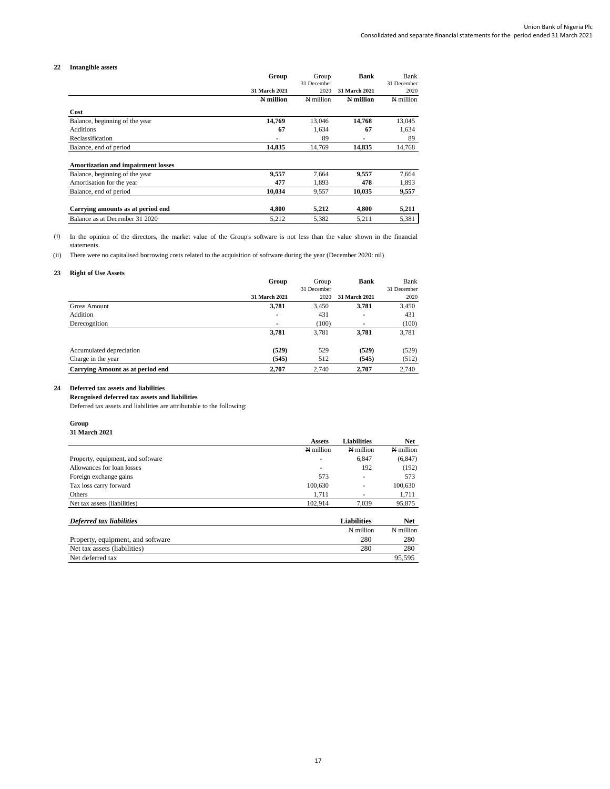## **22 Intangible assets**

|                                           | Group         | Group       | <b>Bank</b>   | Bank        |
|-------------------------------------------|---------------|-------------|---------------|-------------|
|                                           |               | 31 December |               | 31 December |
|                                           | 31 March 2021 | 2020        | 31 March 2021 | 2020        |
|                                           | N million     | N million   | N million     | N million   |
| Cost                                      |               |             |               |             |
| Balance, beginning of the year            | 14,769        | 13,046      | 14,768        | 13,045      |
| <b>Additions</b>                          | 67            | 1.634       | 67            | 1,634       |
| Reclassification                          | ۰             | 89          | ۰             | 89          |
| Balance, end of period                    | 14,835        | 14,769      | 14,835        | 14,768      |
| <b>Amortization and impairment losses</b> |               |             |               |             |
| Balance, beginning of the year            | 9,557         | 7.664       | 9,557         | 7,664       |
| Amortisation for the year                 | 477           | 1.893       | 478           | 1,893       |
| Balance, end of period                    | 10.034        | 9,557       | 10,035        | 9,557       |
| Carrying amounts as at period end         | 4,800         | 5,212       | 4,800         | 5,211       |
| Balance as at December 31 2020            | 5,212         | 5,382       | 5,211         | 5,381       |

(i) In the opinion of the directors, the market value of the Group's software is not less than the value shown in the financial statements.

(ii) There were no capitalised borrowing costs related to the acquisition of software during the year (December 2020: nil)

## **23 Right of Use Assets**

|                                         | Group          | Group       | <b>Bank</b>    | Bank        |
|-----------------------------------------|----------------|-------------|----------------|-------------|
|                                         |                | 31 December |                | 31 December |
|                                         | 31 March 2021  | 2020        | 31 March 2021  | 2020        |
| Gross Amount                            | 3,781          | 3,450       | 3,781          | 3,450       |
| Addition                                | $\blacksquare$ | 431         | $\blacksquare$ | 431         |
| Derecognition                           | $\blacksquare$ | (100)       | ٠              | (100)       |
|                                         | 3,781          | 3.781       | 3,781          | 3,781       |
| Accumulated depreciation                | (529)          | 529         | (529)          | (529)       |
| Charge in the year                      | (545)          | 512         | (545)          | (512)       |
| <b>Carrying Amount as at period end</b> | 2.707          | 2.740       | 2.707          | 2,740       |

## **24 Deferred tax assets and liabilities**

**Recognised deferred tax assets and liabilities**

Deferred tax assets and liabilities are attributable to the following:

#### **Group**

| <b>31 March 2021</b> |  |
|----------------------|--|
|                      |  |

| <b>31 March 2021</b>              |                          |                          |            |
|-----------------------------------|--------------------------|--------------------------|------------|
|                                   | <b>Assets</b>            | Liabilities              | <b>Net</b> |
|                                   | N million                | N million                | N million  |
| Property, equipment, and software |                          | 6,847                    | (6, 847)   |
| Allowances for loan losses        | $\overline{\phantom{a}}$ | 192                      | (192)      |
| Foreign exchange gains            | 573                      | ٠                        | 573        |
| Tax loss carry forward            | 100.630                  | $\overline{\phantom{a}}$ | 100,630    |
| Others                            | 1.711                    | $\overline{\phantom{a}}$ | 1.711      |
| Net tax assets (liabilities)      | 102.914                  | 7.039                    | 95,875     |

| Deferred tax liabilities          | <b>Liabilities</b> | Net         |
|-----------------------------------|--------------------|-------------|
|                                   | N million          | $N$ million |
| Property, equipment, and software | 280                | 280         |
| Net tax assets (liabilities)      | 280                | 280         |
| Net deferred tax                  |                    | 95.595      |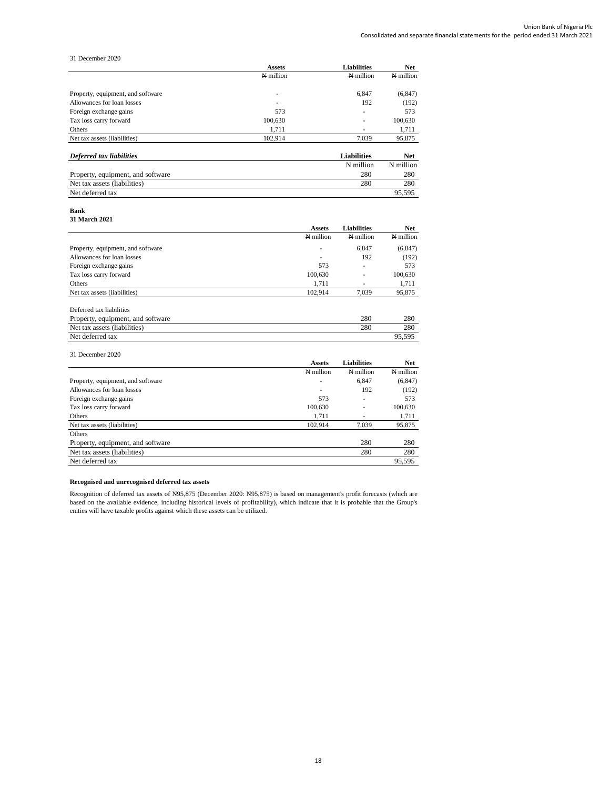31 December 2020

|                                   | <b>Assets</b>            | <b>Liabilities</b>       | <b>Net</b>  |
|-----------------------------------|--------------------------|--------------------------|-------------|
|                                   | N million                | N million                | N million   |
| Property, equipment, and software | $\overline{\phantom{a}}$ | 6,847                    | (6, 847)    |
| Allowances for loan losses        | $\overline{\phantom{a}}$ | 192                      | (192)       |
| Foreign exchange gains            | 573                      | $\overline{\phantom{a}}$ | 573         |
| Tax loss carry forward            | 100,630                  | $\overline{\phantom{a}}$ | 100,630     |
| Others                            | 1.711                    | $\overline{\phantom{a}}$ | 1,711       |
| Net tax assets (liabilities)      | 102.914                  | 7.039                    | 95,875      |
| Deferred tax liabilities          |                          | <b>Liabilities</b>       | <b>Net</b>  |
|                                   |                          | $N$ million              | $N$ million |

|                                   | N million | N million |
|-----------------------------------|-----------|-----------|
| Property, equipment, and software | 280       | 280       |
| Net tax assets (liabilities)      | 280       | 280       |
| Net deferred tax                  |           | 95.595    |

#### **Bank**

**31 March 2021**

|                                   | <b>Assets</b> | <b>Liabilities</b> | <b>Net</b> |
|-----------------------------------|---------------|--------------------|------------|
|                                   | N million     | N million          | N million  |
| Property, equipment, and software |               | 6.847              | (6, 847)   |
| Allowances for loan losses        | ۰             | 192                | (192)      |
| Foreign exchange gains            | 573           | ٠                  | 573        |
| Tax loss carry forward            | 100,630       | ۰                  | 100,630    |
| Others                            | 1.711         | ۰                  | 1,711      |
| Net tax assets (liabilities)      | 102.914       | 7,039              | 95,875     |
| Deferred tax liabilities          |               |                    |            |
| Property, equipment, and software |               | 280                | 280        |
| Net tax assets (liabilities)      |               | 280                | 280        |

Net deferred tax 95,595

## 31 December 2020

|                                   | <b>Assets</b> | <b>Liabilities</b> | <b>Net</b> |
|-----------------------------------|---------------|--------------------|------------|
|                                   | N million     | N million          | N million  |
| Property, equipment, and software | ۰             | 6.847              | (6, 847)   |
| Allowances for loan losses        | ٠             | 192                | (192)      |
| Foreign exchange gains            | 573           | ۰                  | 573        |
| Tax loss carry forward            | 100,630       | ۰                  | 100,630    |
| Others                            | 1,711         |                    | 1,711      |
| Net tax assets (liabilities)      | 102.914       | 7.039              | 95,875     |
| Others                            |               |                    |            |
| Property, equipment, and software |               | 280                | 280        |
| Net tax assets (liabilities)      |               | 280                | 280        |
| Net deferred tax                  |               |                    | 95.595     |

## **Recognised and unrecognised deferred tax assets**

Recognition of deferred tax assets of N95,875 (December 2020: N95,875) is based on management's profit forecasts (which are based on the available evidence, including historical levels of profitability), which indicate that it is probable that the Group's enities will have taxable profits against which these assets can be utilized.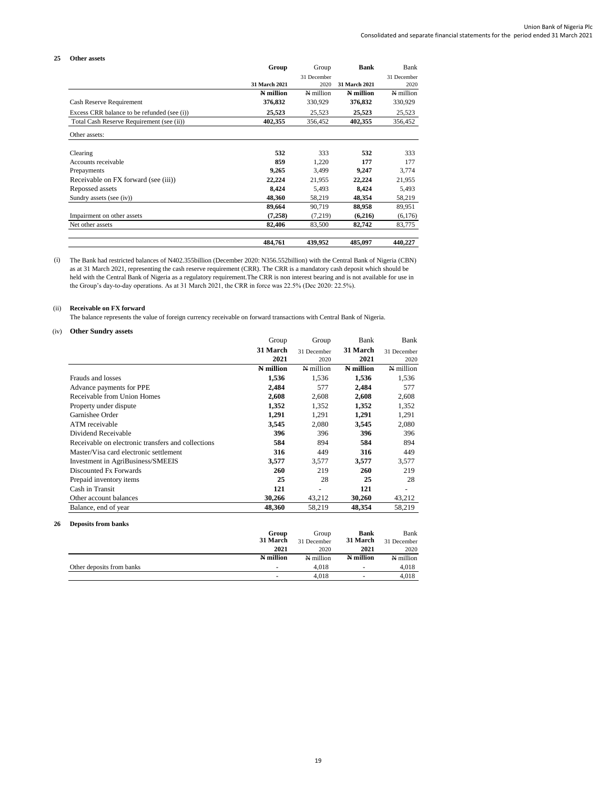| Other assets                                |               |             |               |             |
|---------------------------------------------|---------------|-------------|---------------|-------------|
|                                             | Group         | Group       | <b>Bank</b>   | <b>Bank</b> |
|                                             |               | 31 December |               | 31 December |
|                                             | 31 March 2021 | 2020        | 31 March 2021 | 2020        |
|                                             | N million     | N million   | N million     | N million   |
| Cash Reserve Requirement                    | 376,832       | 330,929     | 376,832       | 330,929     |
| Excess CRR balance to be refunded (see (i)) | 25,523        | 25,523      | 25,523        | 25,523      |
| Total Cash Reserve Requirement (see (ii))   | 402,355       | 356,452     | 402,355       | 356,452     |
| Other assets:                               |               |             |               |             |
| Clearing                                    | 532           | 333         | 532           | 333         |
| Accounts receivable                         | 859           | 1,220       | 177           | 177         |
| Prepayments                                 | 9,265         | 3,499       | 9,247         | 3,774       |
| Receivable on FX forward (see (iii))        | 22,224        | 21,955      | 22,224        | 21,955      |
| Repossed assets                             | 8,424         | 5,493       | 8,424         | 5,493       |
| Sundry assets (see (iv))                    | 48,360        | 58,219      | 48,354        | 58,219      |
|                                             | 89,664        | 90,719      | 88,958        | 89,951      |
| Impairment on other assets                  | (7,258)       | (7,219)     | (6,216)       | (6,176)     |
| Net other assets                            | 82,406        | 83,500      | 82,742        | 83,775      |
|                                             | 484,761       | 439,952     | 485,097       | 440,227     |

(i) The Bank had restricted balances of N402.355billion (December 2020: N356.552billion) with the Central Bank of Nigeria (CBN) as at 31 March 2021, representing the cash reserve requirement (CRR). The CRR is a mandatory cash deposit which should be held with the Central Bank of Nigeria as a regulatory requirement.The CRR is non interest bearing and is not available for use in the Group's day-to-day operations. As at 31 March 2021, the CRR in force was 22.5% (Dec 2020: 22.5%).

## (ii) **Receivable on FX forward**

The balance represents the value of foreign currency receivable on forward transactions with Central Bank of Nigeria.

#### (iv) **Other Sundry assets**

|                                                    | Group     | Group       | Bank      | Bank        |
|----------------------------------------------------|-----------|-------------|-----------|-------------|
|                                                    | 31 March  | 31 December | 31 March  | 31 December |
|                                                    | 2021      | 2020        | 2021      | 2020        |
|                                                    | N million | N million   | N million | N million   |
| Frauds and losses                                  | 1,536     | 1,536       | 1,536     | 1,536       |
| Advance payments for PPE                           | 2,484     | 577         | 2,484     | 577         |
| Receivable from Union Homes                        | 2,608     | 2,608       | 2,608     | 2,608       |
| Property under dispute                             | 1,352     | 1,352       | 1,352     | 1,352       |
| Garnishee Order                                    | 1,291     | 1,291       | 1,291     | 1,291       |
| ATM receivable                                     | 3,545     | 2,080       | 3,545     | 2,080       |
| Dividend Receivable                                | 396       | 396         | 396       | 396         |
| Receivable on electronic transfers and collections | 584       | 894         | 584       | 894         |
| Master/Visa card electronic settlement             | 316       | 449         | 316       | 449         |
| Investment in AgriBusiness/SMEEIS                  | 3,577     | 3,577       | 3,577     | 3,577       |
| Discounted Fx Forwards                             | 260       | 219         | 260       | 219         |
| Prepaid inventory items                            | 25        | 28          | 25        | 28          |
| Cash in Transit                                    | 121       |             | 121       |             |
| Other account balances                             | 30,266    | 43,212      | 30,260    | 43,212      |
| Balance, end of year                               | 48,360    | 58,219      | 48,354    | 58,219      |

#### **26 Deposits from banks**

|                           | Group                    | Group       | Bank      | Bank        |
|---------------------------|--------------------------|-------------|-----------|-------------|
|                           | 31 March                 | 31 December | 31 March  | 31 December |
|                           | 2021                     | 2020        | 2021      | 2020        |
|                           | N million                | N million   | N million | N million   |
| Other deposits from banks |                          | 4.018       |           | 4,018       |
|                           | $\overline{\phantom{a}}$ | 4.018       |           | 4.018       |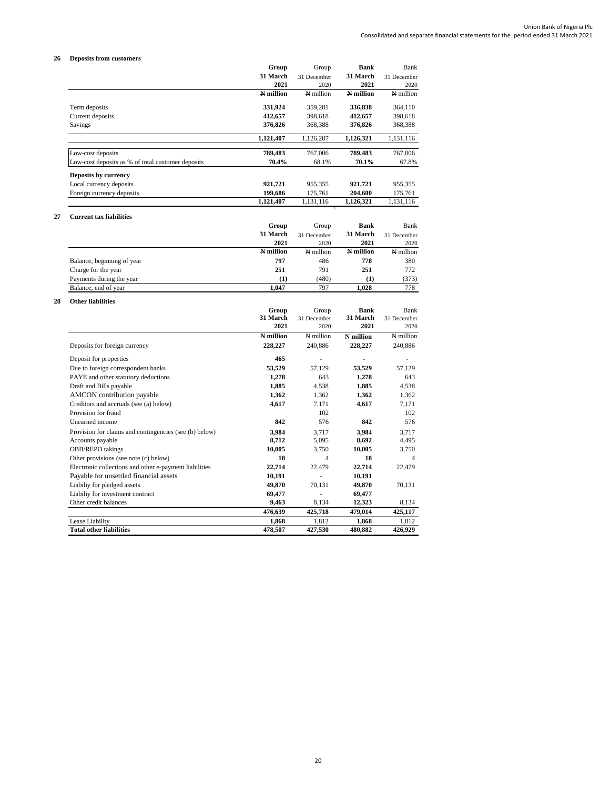## **26 Deposits from customers**

|    | верозна пош                                            | Group     | Group          | <b>Bank</b> | Bank        |
|----|--------------------------------------------------------|-----------|----------------|-------------|-------------|
|    |                                                        | 31 March  | 31 December    | 31 March    | 31 December |
|    |                                                        | 2021      | 2020           | 2021        | 2020        |
|    |                                                        | N million | N million      | N million   | N million   |
|    | Term deposits                                          | 331,924   | 359,281        | 336,838     | 364,110     |
|    | Current deposits                                       | 412,657   | 398,618        | 412,657     | 398,618     |
|    | Savings                                                | 376,826   | 368,388        | 376,826     | 368,388     |
|    |                                                        | 1,121,407 | 1,126,287      | 1,126,321   | 1,131,116   |
|    | Low-cost deposits                                      | 789,483   | 767,006        | 789,483     | 767,006     |
|    | Low-cost deposits as % of total customer deposits      | 70.4%     | 68.1%          | 70.1%       | 67.8%       |
|    |                                                        |           |                |             |             |
|    | Deposits by currency                                   |           |                |             |             |
|    | Local currency deposits                                | 921,721   | 955,355        | 921,721     | 955,355     |
|    | Foreign currency deposits                              | 199,686   | 175,761        | 204,600     | 175,761     |
|    |                                                        | 1,121,407 | 1,131,116      | 1,126,321   | 1,131,116   |
| 27 | <b>Current tax liabilities</b>                         |           |                |             |             |
|    |                                                        | Group     | Group          | <b>Bank</b> | <b>Bank</b> |
|    |                                                        | 31 March  | 31 December    | 31 March    | 31 December |
|    |                                                        | 2021      | 2020           | 2021        | 2020        |
|    |                                                        | N million | N million      | N million   | N million   |
|    | Balance, beginning of year                             | 797       | 486            | 778         | 380         |
|    | Charge for the year                                    | 251       | 791            | 251         | 772         |
|    | Payments during the year                               | (1)       | (480)          | (1)         | (373)       |
|    | Balance, end of year                                   | 1.047     | 797            | 1,028       | 778         |
| 28 | <b>Other liabilities</b>                               |           |                |             |             |
|    |                                                        | Group     | Group          | <b>Bank</b> | <b>Bank</b> |
|    |                                                        | 31 March  | 31 December    | 31 March    | 31 December |
|    |                                                        | 2021      | 2020           | 2021        | 2020        |
|    |                                                        | N million | N million      | N million   | N million   |
|    | Deposits for foreign currency                          | 228,227   | 240,886        | 228,227     | 240,886     |
|    | Deposit for properties                                 | 465       | ä,             |             |             |
|    | Due to foreign correspondent banks                     | 53,529    | 57,129         | 53,529      | 57,129      |
|    | PAYE and other statutory deductions                    | 1,278     | 643            | 1,278       | 643         |
|    | Draft and Bills payable                                | 1,885     | 4,538          | 1,885       | 4,538       |
|    | <b>AMCON</b> contribution payable                      | 1,362     | 1,362          | 1,362       | 1,362       |
|    | Creditors and accruals (see (a) below)                 | 4,617     | 7,171          | 4,617       | 7,171       |
|    | Provision for fraud                                    |           | 102            |             | 102         |
|    | Unearned income                                        | 842       | 576            | 842         | 576         |
|    | Provision for claims and contingencies (see (b) below) | 3,984     | 3,717          | 3,984       | 3,717       |
|    | Accounts payable                                       | 8,712     | 5,095          | 8,692       | 4,495       |
|    | OBB/REPO takings                                       | 10,005    | 3,750          | 10,005      | 3,750       |
|    | Other provisions (see note (c) below)                  | 18        | $\overline{4}$ | 18          | 4           |
|    | Electronic collections and other e-payment liabilities | 22,714    | 22,479         | 22,714      | 22,479      |
|    | Payable for unsettled financial assets                 | 10,191    | ä,             | 10,191      |             |
|    | Liabiliy for pledged assets                            | 49,870    | 70,131         | 49,870      | 70,131      |
|    | Liabiliy for investment contract                       | 69,477    |                | 69,477      |             |
|    | Other credit balances                                  | 9,463     | 8,134          | 12,323      | 8,134       |
|    |                                                        | 476,639   | 425,718        | 479,014     | 425,117     |

Lease Liability **1,868** 1,812 **1,868** 1,812 **Total other liabilities 478,507 427,530 480,882 426,929**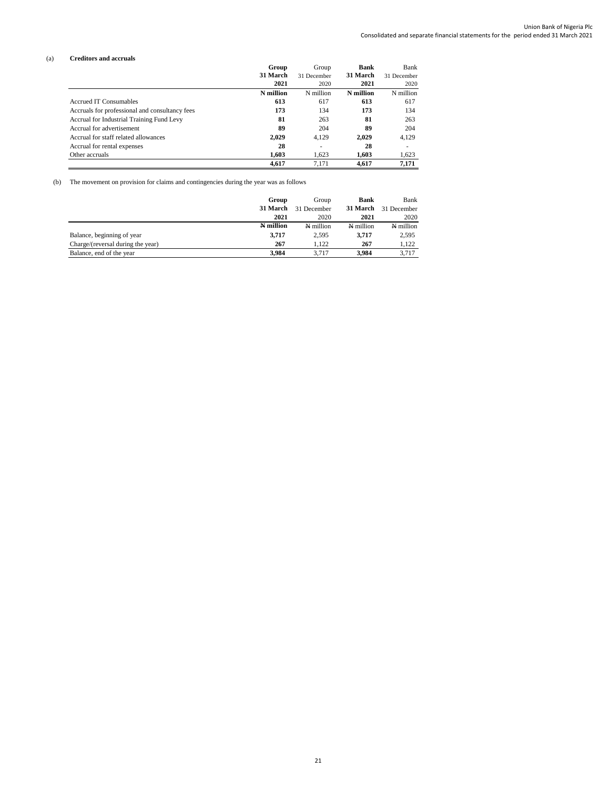#### (a) **Creditors and accruals**

|                                                | Group     |             | Group     | Bank        | Bank |
|------------------------------------------------|-----------|-------------|-----------|-------------|------|
|                                                | 31 March  | 31 December | 31 March  | 31 December |      |
|                                                | 2021      | 2020        | 2021      | 2020        |      |
|                                                | N million | N million   | N million | N million   |      |
| Accrued IT Consumables                         | 613       | 617         | 613       | 617         |      |
| Accruals for professional and consultancy fees | 173       | 134         | 173       | 134         |      |
| Accrual for Industrial Training Fund Levy      | 81        | 263         | 81        | 263         |      |
| Accrual for advertisement                      | 89        | 204         | 89        | 204         |      |
| Accrual for staff related allowances           | 2,029     | 4,129       | 2,029     | 4,129       |      |
| Accrual for rental expenses                    | 28        | ٠           | 28        | ۰           |      |
| Other accruals                                 | 1.603     | 1.623       | 1.603     | 1,623       |      |
|                                                | 4.617     | 7.171       | 4.617     | 7,171       |      |

(b) The movement on provision for claims and contingencies during the year was as follows

|                                   | Group     | Group       | <b>Bank</b> | Bank        |
|-----------------------------------|-----------|-------------|-------------|-------------|
|                                   | 31 March  | 31 December | 31 March    | 31 December |
|                                   | 2021      | 2020        | 2021        | 2020        |
|                                   | N million | N million   | N million   | N million   |
| Balance, beginning of year        | 3,717     | 2,595       | 3,717       | 2,595       |
| Charge/(reversal during the year) | 267       | 1.122       | 267         | 1,122       |
| Balance, end of the year          | 3.984     | 3.717       | 3.984       | 3.717       |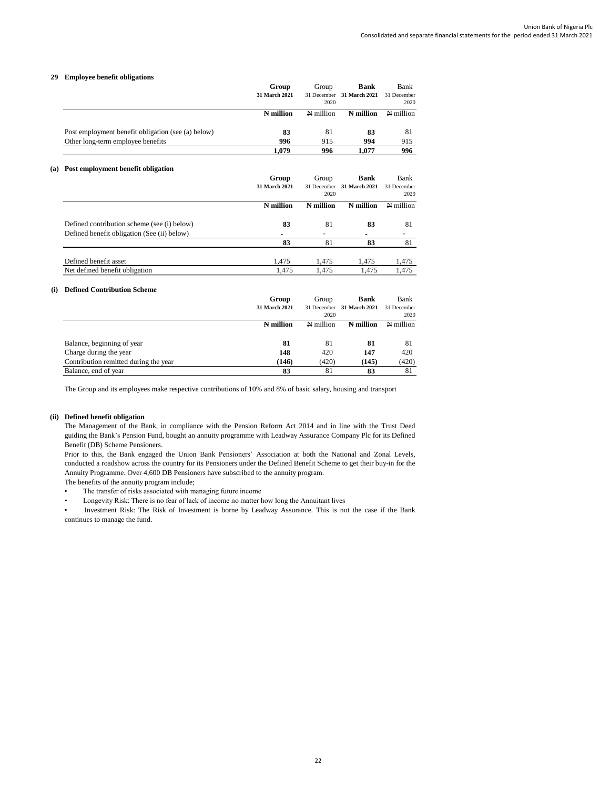## **29 Employee benefit obligations**

|                                                    | Group<br>31 March 2021 | Group<br>2020 | <b>Bank</b><br>31 December 31 March 2021 | Bank<br>31 December<br>2020 |
|----------------------------------------------------|------------------------|---------------|------------------------------------------|-----------------------------|
|                                                    | N million              | N million     | N million                                | N million                   |
| Post employment benefit obligation (see (a) below) | 83                     | 81            | 83                                       | 81                          |
| Other long-term employee benefits                  | 996                    | 915           | 994                                      | 915                         |
|                                                    | 1.079                  | 996           | 1.077                                    | 996                         |

## **(a) Post employment benefit obligation**

|                                             | Group         | Group       | <b>Bank</b>   | Bank        |
|---------------------------------------------|---------------|-------------|---------------|-------------|
|                                             | 31 March 2021 | 31 December | 31 March 2021 | 31 December |
|                                             |               | 2020        |               | 2020        |
|                                             | N million     | N million   | N million     | N million   |
| Defined contribution scheme (see (i) below) | 83            | 81          | 83            | 81          |
| Defined benefit obligation (See (ii) below) | ۰             |             | ۰             |             |
|                                             | 83            | 81          | 83            | 81          |
|                                             |               |             |               |             |
| Defined benefit asset                       | 1.475         | 1.475       | 1.475         | 1,475       |
| Net defined benefit obligation              | 1.475         | 1.475       | 1.475         | 1.475       |

#### **(i) Defined Contribution Scheme**

|                                       | Group<br>31 March 2021 | Group<br>2020 | <b>Bank</b><br>31 December 31 March 2021 | Bank<br>31 December<br>2020 |
|---------------------------------------|------------------------|---------------|------------------------------------------|-----------------------------|
|                                       | N million              | N million     | N million                                | N million                   |
| Balance, beginning of year            | -81                    | 81            | 81                                       | 81                          |
| Charge during the year                | 148                    | 420           | 147                                      | 420                         |
| Contribution remitted during the year | (146)                  | (420)         | (145)                                    | (420)                       |
| Balance, end of year                  | 83                     | 81            | 83                                       | 81                          |

The Group and its employees make respective contributions of 10% and 8% of basic salary, housing and transport

#### **(ii) Defined benefit obligation**

The Management of the Bank, in compliance with the Pension Reform Act 2014 and in line with the Trust Deed guiding the Bank's Pension Fund, bought an annuity programme with Leadway Assurance Company Plc for its Defined Benefit (DB) Scheme Pensioners.

Prior to this, the Bank engaged the Union Bank Pensioners' Association at both the National and Zonal Levels, conducted a roadshow across the country for its Pensioners under the Defined Benefit Scheme to get their buy-in for the Annuity Programme. Over 4,600 DB Pensioners have subscribed to the annuity program.

The benefits of the annuity program include;

- The transfer of risks associated with managing future income
- Longevity Risk: There is no fear of lack of income no matter how long the Annuitant lives

• Investment Risk: The Risk of Investment is borne by Leadway Assurance. This is not the case if the Bank continues to manage the fund.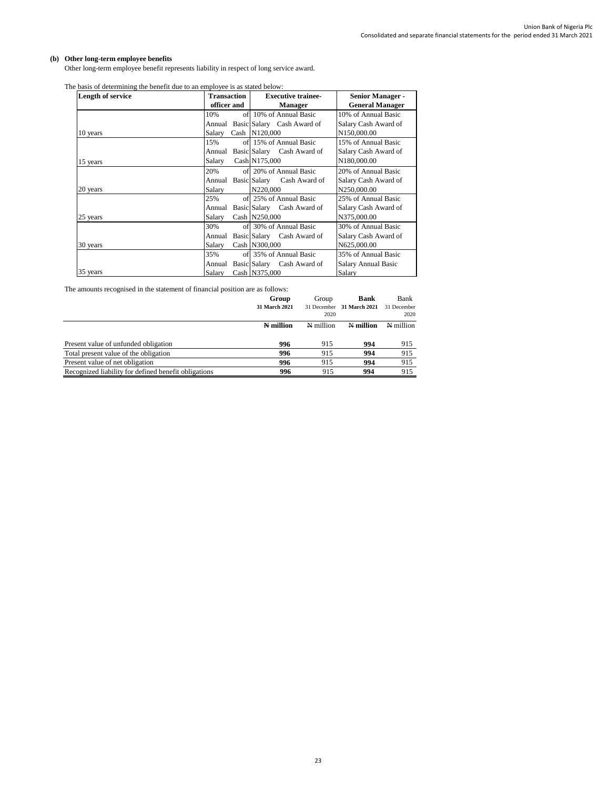# **(b) Other long-term employee benefits**

Other long-term employee benefit represents liability in respect of long service award.

| Length of service | <b>Transaction</b> | <b>Executive trainee-</b>  | <b>Senior Manager -</b> |
|-------------------|--------------------|----------------------------|-------------------------|
|                   | officer and        | <b>Manager</b>             | <b>General Manager</b>  |
|                   | 10%                | of 10% of Annual Basic     | 10% of Annual Basic     |
|                   | Annual             | Basic Salary Cash Award of | Salary Cash Award of    |
| 10 years          | Salary             | Cash N120,000              | N150,000.00             |
|                   | 15%                | of 15% of Annual Basic     | 15% of Annual Basic     |
|                   | Annual             | Basic Salary Cash Award of | Salary Cash Award of    |
| 15 years          | Salary             | Cash N175,000              | N180,000.00             |
|                   | 20%                | of 20% of Annual Basic     | 20% of Annual Basic     |
|                   | Annual             | Basic Salary Cash Award of | Salary Cash Award of    |
| 20 years          | Salary             | N220,000                   | N250,000.00             |
|                   | 25%                | of 25% of Annual Basic     | 25% of Annual Basic     |
|                   | Annual             | Basic Salary Cash Award of | Salary Cash Award of    |
| 25 years          | Salary             | Cash N250,000              | N375,000.00             |
|                   | 30%                | of 30% of Annual Basic     | 30% of Annual Basic     |
|                   | Annual             | Basic Salary Cash Award of | Salary Cash Award of    |
| 30 years          | Salary             | Cash N300,000              | N625,000.00             |
|                   | 35%                | of 35% of Annual Basic     | 35% of Annual Basic     |
|                   | Annual             | Basic Salary Cash Award of | Salary Annual Basic     |
| 35 years          | Salary             | Cash N375,000              | Salary                  |

The basis of determining the benefit due to an employee is as stated below:

The amounts recognised in the statement of financial position are as follows:

|                                                      | Group<br>31 March 2021 | Group<br>31 December<br>2020 | <b>Bank</b><br><b>31 March 2021</b> | Bank<br>31 December<br>2020 |
|------------------------------------------------------|------------------------|------------------------------|-------------------------------------|-----------------------------|
|                                                      | N million              | N million                    | N million                           | N million                   |
| Present value of unfunded obligation                 | 996                    | 915                          | 994                                 | 915                         |
| Total present value of the obligation                | 996                    | 915                          | 994                                 | 915                         |
| Present value of net obligation                      | 996                    | 915                          | 994                                 | 915                         |
| Recognized liability for defined benefit obligations | 996                    | 915                          | 994                                 | 915                         |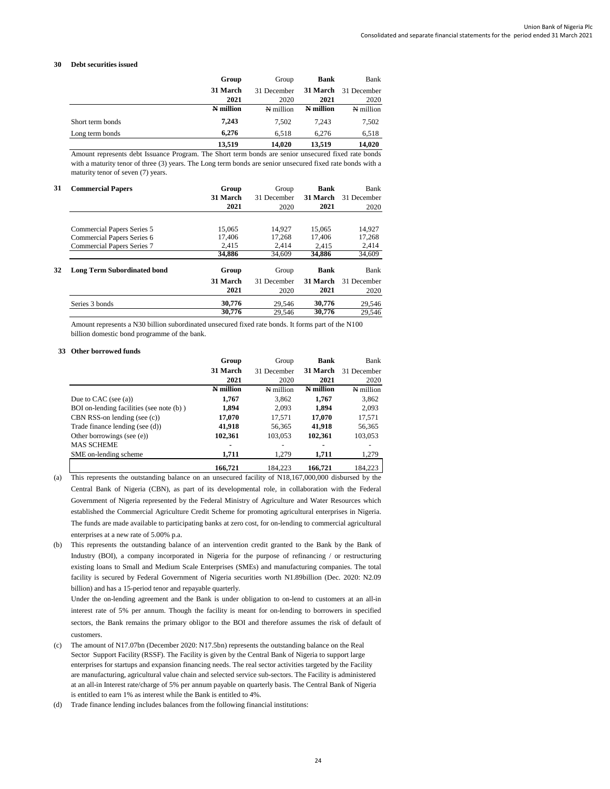#### **30 Debt securities issued**

|                  | Group     | Group       | <b>Bank</b> | Bank        |
|------------------|-----------|-------------|-------------|-------------|
|                  | 31 March  | 31 December | 31 March    | 31 December |
|                  | 2021      | 2020        | 2021        | 2020        |
|                  | N million | N million   | N million   | N million   |
| Short term bonds | 7,243     | 7.502       | 7.243       | 7,502       |
| Long term bonds  | 6.276     | 6.518       | 6.276       | 6,518       |
|                  | 13.519    | 14.020      | 13.519      | 14,020      |

Amount represents debt Issuance Program. The Short term bonds are senior unsecured fixed rate bonds with a maturity tenor of three (3) years. The Long term bonds are senior unsecured fixed rate bonds with a maturity tenor of seven (7) years.

| 31 | <b>Commercial Papers</b>           | Group<br>31 March<br>2021 | Group<br>31 December<br>2020 | <b>Bank</b><br>31 March<br>2021 | Bank<br>31 December<br>2020 |
|----|------------------------------------|---------------------------|------------------------------|---------------------------------|-----------------------------|
|    |                                    |                           |                              |                                 |                             |
|    | Commercial Papers Series 5         | 15,065                    | 14.927                       | 15,065                          | 14,927                      |
|    | Commercial Papers Series 6         | 17,406                    | 17,268                       | 17,406                          | 17,268                      |
|    | Commercial Papers Series 7         | 2,415                     | 2,414                        | 2.415                           | 2,414                       |
|    |                                    | 34,886                    | 34.609                       | 34,886                          | 34,609                      |
| 32 | <b>Long Term Subordinated bond</b> | Group                     | Group                        | <b>Bank</b>                     | Bank                        |
|    |                                    | 31 March                  | 31 December                  | 31 March                        | 31 December                 |
|    |                                    | 2021                      | 2020                         | 2021                            | 2020                        |
|    | Series 3 bonds                     | 30,776                    | 29.546                       | 30,776                          | 29,546                      |
|    |                                    | 30,776                    | 29,546                       | 30,776                          | 29.546                      |

Amount represents a N30 billion subordinated unsecured fixed rate bonds. It forms part of the N100 billion domestic bond programme of the bank.

#### **33 Other borrowed funds**

|                                          | Group     | Group       | Bank      | Bank        |
|------------------------------------------|-----------|-------------|-----------|-------------|
|                                          | 31 March  | 31 December | 31 March  | 31 December |
|                                          | 2021      | 2020        | 2021      | 2020        |
|                                          | N million | N million   | N million | N million   |
| Due to CAC (see $(a)$ )                  | 1,767     | 3,862       | 1,767     | 3,862       |
| BOI on-lending facilities (see note (b)) | 1,894     | 2.093       | 1.894     | 2,093       |
| CBN RSS-on lending (see $(c)$ )          | 17,070    | 17.571      | 17,070    | 17,571      |
| Trade finance lending (see (d))          | 41,918    | 56,365      | 41,918    | 56,365      |
| Other borrowings (see (e))               | 102,361   | 103,053     | 102,361   | 103,053     |
| <b>MAS SCHEME</b>                        |           |             |           |             |
| SME on-lending scheme                    | 1,711     | 1.279       | 1,711     | 1,279       |
|                                          | 166.721   | 184.223     | 166,721   | 184.223     |

(a) This represents the outstanding balance on an unsecured facility of N18,167,000,000 disbursed by the Central Bank of Nigeria (CBN), as part of its developmental role, in collaboration with the Federal Government of Nigeria represented by the Federal Ministry of Agriculture and Water Resources which established the Commercial Agriculture Credit Scheme for promoting agricultural enterprises in Nigeria. The funds are made available to participating banks at zero cost, for on-lending to commercial agricultural enterprises at a new rate of 5.00% p.a.

(b) This represents the outstanding balance of an intervention credit granted to the Bank by the Bank of Industry (BOI), a company incorporated in Nigeria for the purpose of refinancing / or restructuring existing loans to Small and Medium Scale Enterprises (SMEs) and manufacturing companies. The total facility is secured by Federal Government of Nigeria securities worth N1.89billion (Dec. 2020: N2.09 billion) and has a 15-period tenor and repayable quarterly.

Under the on-lending agreement and the Bank is under obligation to on-lend to customers at an all-in interest rate of 5% per annum. Though the facility is meant for on-lending to borrowers in specified sectors, the Bank remains the primary obligor to the BOI and therefore assumes the risk of default of customers.

- (c) The amount of N17.07bn (December 2020: N17.5bn) represents the outstanding balance on the Real Sector Support Facility (RSSF). The Facility is given by the Central Bank of Nigeria to support large enterprises for startups and expansion financing needs. The real sector activities targeted by the Facility are manufacturing, agricultural value chain and selected service sub-sectors. The Facility is administered at an all-in Interest rate/charge of 5% per annum payable on quarterly basis. The Central Bank of Nigeria is entitled to earn 1% as interest while the Bank is entitled to 4%.
- (d) Trade finance lending includes balances from the following financial institutions: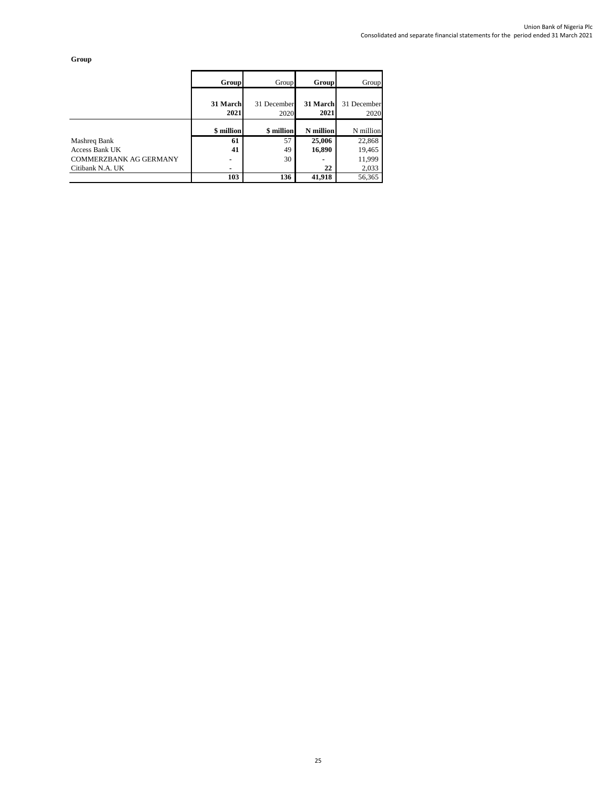**Group**

|                        | Group            | Group               | Group            | Group               |
|------------------------|------------------|---------------------|------------------|---------------------|
|                        | 31 March<br>2021 | 31 December<br>2020 | 31 March<br>2021 | 31 December<br>2020 |
|                        | \$ million       | \$ million          | <b>N</b> million | N million           |
| Mashreq Bank           | 61               | 57                  | 25,006           | 22,868              |
| Access Bank UK         | 41               | 49                  | 16,890           | 19,465              |
| COMMERZBANK AG GERMANY | ۰                | 30                  |                  | 11,999              |
| Citibank N.A. UK       | ۰                |                     | 22               | 2,033               |
|                        | 103              | 136                 | 41,918           | 56,365              |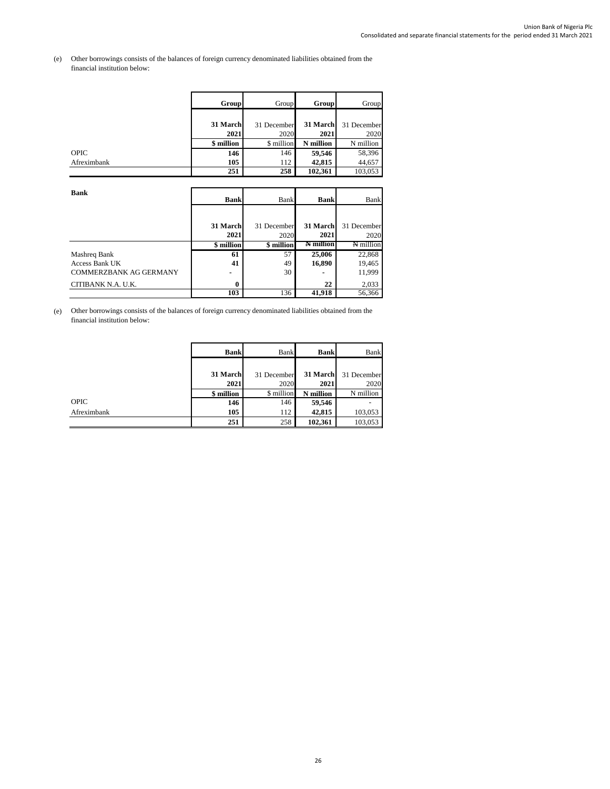#### (e) Other borrowings consists of the balances of foreign currency denominated liabilities obtained from the financial institution below:

|             | Group      | Group       | Group     | Group       |
|-------------|------------|-------------|-----------|-------------|
|             |            |             |           |             |
|             | 31 March   | 31 December | 31 March  | 31 December |
|             | 2021       | 2020        | 2021      | 2020        |
|             | \$ million | \$ million  | N million | N million   |
| <b>OPIC</b> | 146        | 146         | 59,546    | 58,396      |
| Afreximbank | 105        | 112         | 42,815    | 44,657      |
|             | 251        | 258         | 102,361   | 103,053     |

| <b>Bank</b>            | <b>Bank</b> | Bank        | <b>Bank</b>      | Bank        |
|------------------------|-------------|-------------|------------------|-------------|
|                        |             |             |                  |             |
|                        | 31 March    | 31 December | 31 March         | 31 December |
|                        | 2021        | 2020        | 2021             | 2020        |
|                        | \$ million  | \$ million  | <b>A</b> million | N million   |
| Mashreq Bank           | 61          | 57          | 25,006           | 22,868      |
| Access Bank UK         | 41          | 49          | 16,890           | 19,465      |
| COMMERZBANK AG GERMANY |             | 30          |                  | 11,999      |
| CITIBANK N.A. U.K.     | 0           |             | 22               | 2,033       |
|                        | 103         | 136         | 41,918           | 56,366      |

(e) Other borrowings consists of the balances of foreign currency denominated liabilities obtained from the financial institution below:

|             | <b>Bank</b> | Bank        | <b>Bank</b> | Bank        |
|-------------|-------------|-------------|-------------|-------------|
|             |             |             |             |             |
|             | 31 March    | 31 December | 31 March    | 31 December |
|             | 2021        | 2020        | 2021        | 2020        |
|             | \$ million  | \$ million  | million     | N million   |
| <b>OPIC</b> | 146         | 146         | 59,546      |             |
| Afreximbank | 105         | 112         | 42,815      | 103,053     |
|             | 251         | 258         | 102,361     | 103,053     |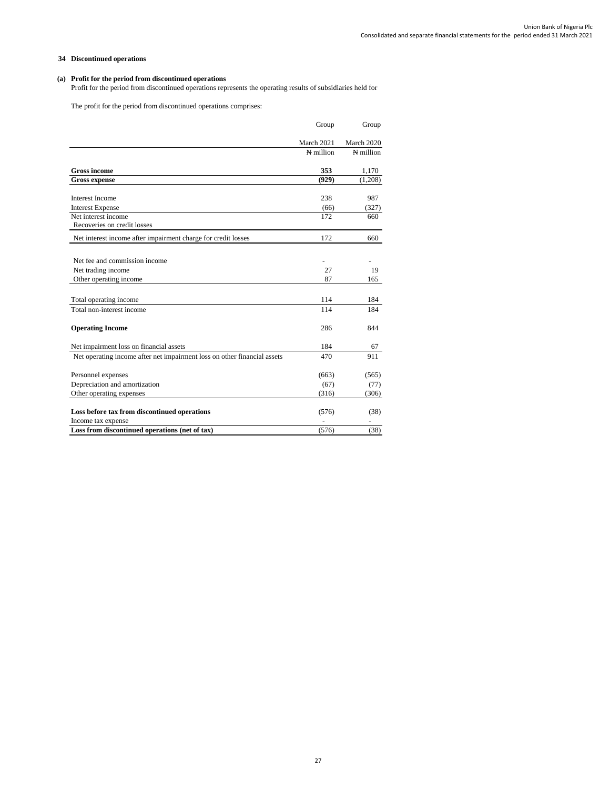## **34 Discontinued operations**

## **(a) Profit for the period from discontinued operations**

Profit for the period from discontinued operations represents the operating results of subsidiaries held for

The profit for the period from discontinued operations comprises:

|                                                                          | Group      | Group      |
|--------------------------------------------------------------------------|------------|------------|
|                                                                          | March 2021 | March 2020 |
|                                                                          | N million  | N million  |
| <b>Gross income</b>                                                      | 353        | 1,170      |
| <b>Gross expense</b>                                                     | (929)      | (1,208)    |
| Interest Income                                                          | 238        | 987        |
| <b>Interest Expense</b>                                                  | (66)       | (327)      |
| Net interest income                                                      | 172        | 660        |
| Recoveries on credit losses                                              |            |            |
| Net interest income after impairment charge for credit losses            | 172        | 660        |
| Net fee and commission income                                            |            |            |
| Net trading income                                                       | 27         | 19         |
| Other operating income                                                   | 87         | 165        |
| Total operating income                                                   | 114        | 184        |
| Total non-interest income                                                | 114        | 184        |
| <b>Operating Income</b>                                                  | 286        | 844        |
| Net impairment loss on financial assets                                  | 184        | 67         |
| Net operating income after net impairment loss on other financial assets | 470        | 911        |
| Personnel expenses                                                       | (663)      | (565)      |
| Depreciation and amortization                                            | (67)       | (77)       |
| Other operating expenses                                                 | (316)      | (306)      |
| Loss before tax from discontinued operations                             | (576)      | (38)       |
| Income tax expense                                                       |            |            |
| Loss from discontinued operations (net of tax)                           | (576)      | (38)       |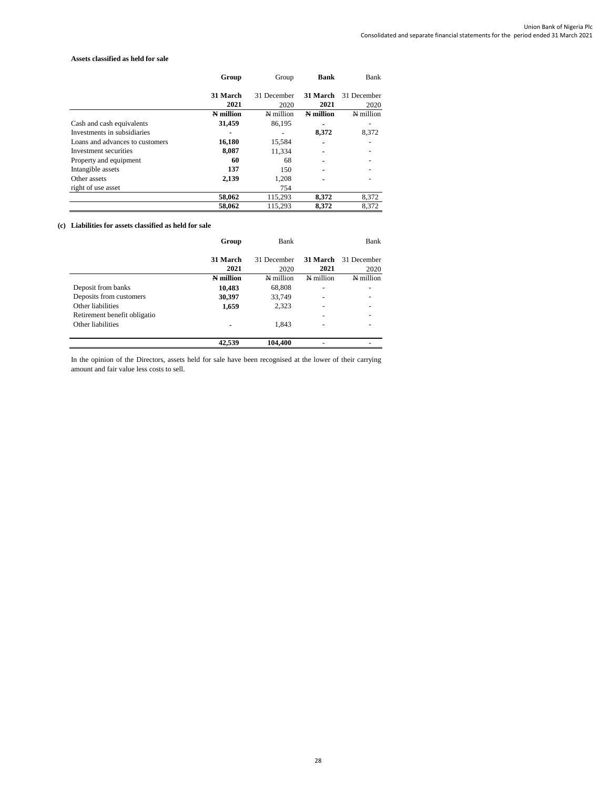#### **Assets classified as held for sale**

|                                 | Group     | Group       | <b>Bank</b> | Bank        |
|---------------------------------|-----------|-------------|-------------|-------------|
|                                 | 31 March  |             | 31 March    |             |
|                                 |           | 31 December |             | 31 December |
|                                 | 2021      | 2020        | 2021        | 2020        |
|                                 | N million | N million   | N million   | N million   |
| Cash and cash equivalents       | 31,459    | 86,195      |             |             |
| Investments in subsidiaries     | ۰         |             | 8,372       | 8,372       |
| Loans and advances to customers | 16,180    | 15,584      |             |             |
| Investment securities           | 8,087     | 11,334      |             |             |
| Property and equipment          | 60        | 68          | ۰           |             |
| Intangible assets               | 137       | 150         | ٠           |             |
| Other assets                    | 2,139     | 1,208       | ٠           |             |
| right of use asset              |           | 754         |             |             |
|                                 | 58,062    | 115,293     | 8,372       | 8,372       |
|                                 | 58,062    | 115,293     | 8,372       | 8.372       |

# **(c) Liabilities for assets classified as held for sale**

|                              | Group     | <b>Bank</b> |                          | Bank        |
|------------------------------|-----------|-------------|--------------------------|-------------|
|                              | 31 March  | 31 December | 31 March                 | 31 December |
|                              | 2021      | 2020        | 2021                     | 2020        |
|                              | N million | N million   | N million                | N million   |
| Deposit from banks           | 10,483    | 68,808      | $\overline{\phantom{0}}$ |             |
| Deposits from customers      | 30,397    | 33,749      | -                        |             |
| Other liabilities            | 1,659     | 2,323       |                          |             |
| Retirement benefit obligatio |           |             |                          |             |
| Other liabilities            |           | 1,843       |                          |             |
|                              | 42.539    | 104,400     |                          |             |

In the opinion of the Directors, assets held for sale have been recognised at the lower of their carrying amount and fair value less costs to sell.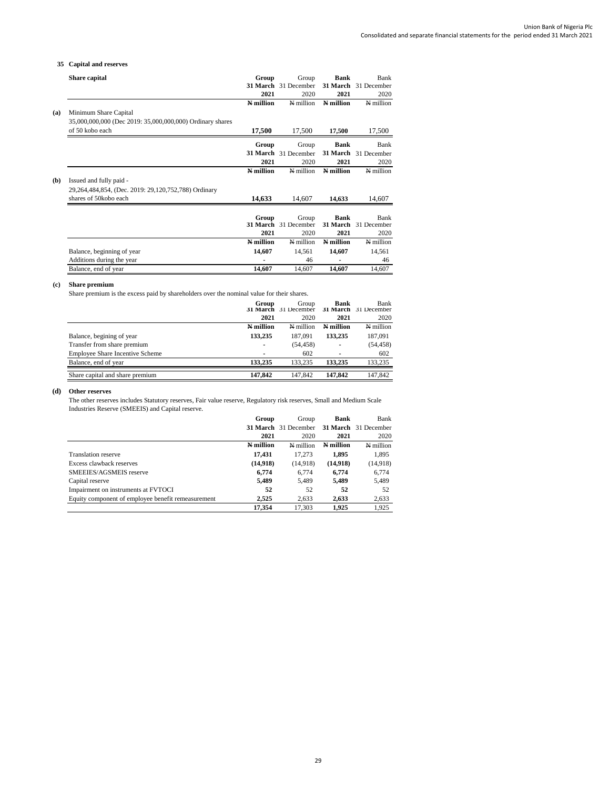## **35 Capital and reserves**

|     | Share capital                                             | Group     | Group                | <b>Bank</b>     | Bank                 |
|-----|-----------------------------------------------------------|-----------|----------------------|-----------------|----------------------|
|     |                                                           |           | 31 March 31 December | 31 March        | 31 December          |
|     |                                                           | 2021      | 2020                 | 2021            | 2020                 |
|     |                                                           | N million | N million            | N million       | N million            |
| (a) | Minimum Share Capital                                     |           |                      |                 |                      |
|     | 35,000,000,000 (Dec 2019: 35,000,000,000) Ordinary shares |           |                      |                 |                      |
|     | of 50 kobo each                                           | 17,500    | 17,500               | 17,500          | 17,500               |
|     |                                                           | Group     | Group                | <b>Bank</b>     | Bank                 |
|     |                                                           |           | 31 March 31 December |                 | 31 March 31 December |
|     |                                                           | 2021      | 2020                 | 2021            | 2020                 |
|     |                                                           | N million | N million            | N million       | N million            |
| (b) | Issued and fully paid -                                   |           |                      |                 |                      |
|     | 29,264,484,854, (Dec. 2019: 29,120,752,788) Ordinary      |           |                      |                 |                      |
|     | shares of 50kobo each                                     | 14,633    | 14,607               | 14,633          | 14,607               |
|     |                                                           |           |                      |                 |                      |
|     |                                                           | Group     | Group                | <b>Bank</b>     | Bank                 |
|     |                                                           |           | 31 March 31 December | <b>31 March</b> | 31 December          |
|     |                                                           | 2021      | 2020                 | 2021            | 2020                 |
|     |                                                           | N million | N million            | N million       | N million            |
|     | Balance, beginning of year                                | 14,607    | 14,561               | 14,607          | 14,561               |
|     | Additions during the year                                 |           | 46                   |                 | 46                   |
|     | Balance, end of year                                      | 14.607    | 14.607               | 14.607          | 14.607               |

## **(c) Share premium**

Share premium is the excess paid by shareholders over the nominal value for their shares.

|                                        | Group<br>2021 | Group<br>31 March 31 December<br>2020 | Bank<br><b>31 March</b><br>2021 | Bank<br>31 December<br>2020 |
|----------------------------------------|---------------|---------------------------------------|---------------------------------|-----------------------------|
|                                        | N million     | $N$ million                           | N million                       | N million                   |
| Balance, begining of year              | 133,235       | 187.091                               | 133,235                         | 187,091                     |
| Transfer from share premium            | ۰             | (54, 458)                             | $\overline{\phantom{0}}$        | (54, 458)                   |
| <b>Employee Share Incentive Scheme</b> |               | 602                                   | ٠                               | 602                         |
| Balance, end of year                   | 133.235       | 133.235                               | 133.235                         | 133,235                     |
| Share capital and share premium        | 147.842       | 147.842                               | 147.842                         | 147,842                     |

#### **(d) Other reserves**

The other reserves includes Statutory reserves, Fair value reserve, Regulatory risk reserves, Small and Medium Scale Industries Reserve (SMEEIS) and Capital reserve.

|                                                    | Group     | Group                | <b>Bank</b> | Bank                 |
|----------------------------------------------------|-----------|----------------------|-------------|----------------------|
|                                                    |           | 31 March 31 December |             | 31 March 31 December |
|                                                    | 2021      | 2020                 | 2021        | 2020                 |
|                                                    | N million | N million            | N million   | N million            |
| <b>Translation reserve</b>                         | 17.431    | 17.273               | 1.895       | 1,895                |
| Excess clawback reserves                           | (14,918)  | (14,918)             | (14,918)    | (14,918)             |
| SMEEIES/AGSMEIS reserve                            | 6.774     | 6.774                | 6.774       | 6,774                |
| Capital reserve                                    | 5,489     | 5,489                | 5,489       | 5,489                |
| Impairment on instruments at FVTOCI                | 52        | 52                   | 52          | 52                   |
| Equity component of employee benefit remeasurement | 2.525     | 2,633                | 2,633       | 2,633                |
|                                                    | 17.354    | 17.303               | 1.925       | 1.925                |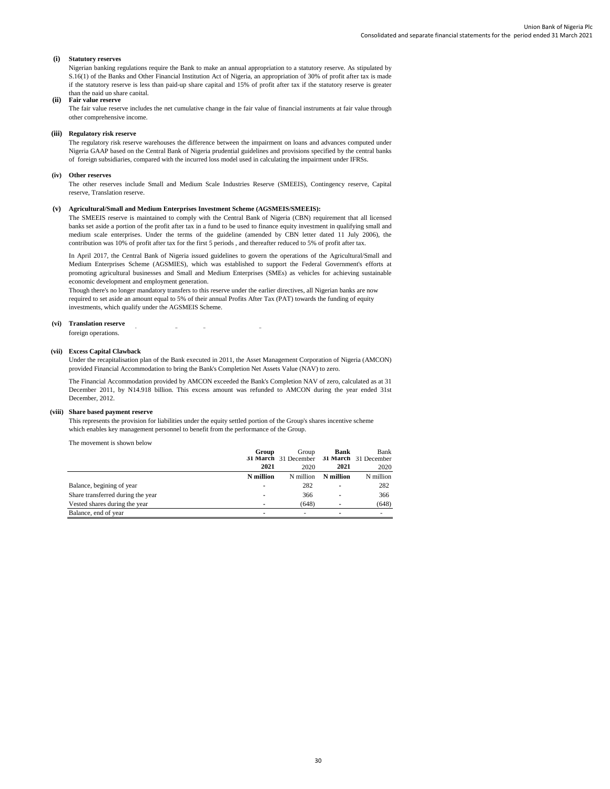#### **(i) Statutory reserves**

Nigerian banking regulations require the Bank to make an annual appropriation to a statutory reserve. As stipulated by S.16(1) of the Banks and Other Financial Institution Act of Nigeria, an appropriation of 30% of profit after tax is made if the statutory reserve is less than paid-up share capital and 15% of profit after tax if the statutory reserve is greater than the paid up share capital.

#### **(ii) Fair value reserve**

The fair value reserve includes the net cumulative change in the fair value of financial instruments at fair value through other comprehensive income.

#### **(iii) Regulatory risk reserve**

The regulatory risk reserve warehouses the difference between the impairment on loans and advances computed under Nigeria GAAP based on the Central Bank of Nigeria prudential guidelines and provisions specified by the central banks of foreign subsidiaries, compared with the incurred loss model used in calculating the impairment under IFRSs.

#### **(iv) Other reserves**

The other reserves include Small and Medium Scale Industries Reserve (SMEEIS), Contingency reserve, Capital reserve, Translation reserve.

#### **(v) Agricultural/Small and Medium Enterprises Investment Scheme (AGSMEIS/SMEEIS):**

The SMEEIS reserve is maintained to comply with the Central Bank of Nigeria (CBN) requirement that all licensed banks set aside a portion of the profit after tax in a fund to be used to finance equity investment in qualifying small and medium scale enterprises. Under the terms of the guideline (amended by CBN letter dated 11 July 2006), the contribution was 10% of profit after tax for the first 5 periods , and thereafter reduced to 5% of profit after tax.

In April 2017, the Central Bank of Nigeria issued guidelines to govern the operations of the Agricultural/Small and Medium Enterprises Scheme (AGSMIES), which was established to support the Federal Government's efforts at promoting agricultural businesses and Small and Medium Enterprises (SMEs) as vehicles for achieving sustainable economic development and employment generation.

Though there's no longer mandatory transfers to this reserve under the earlier directives, all Nigerian banks are now required to set aside an amount equal to 5% of their annual Profits After Tax (PAT) towards the funding of equity investments, which qualify under the AGSMEIS Scheme.

#### **(vi) Translation reserve** Translation reserve comprises all foreign exchange differences arising from translation of the financial statements of

foreign operations.

#### **(vii) Excess Capital Clawback**

Under the recapitalisation plan of the Bank executed in 2011, the Asset Management Corporation of Nigeria (AMCON) provided Financial Accommodation to bring the Bank's Completion Net Assets Value (NAV) to zero.

The Financial Accommodation provided by AMCON exceeded the Bank's Completion NAV of zero, calculated as at 31 December 2011, by N14.918 billion. This excess amount was refunded to AMCON during the year ended 31st December, 2012.

#### **(viii) Share based payment reserve**

This represents the provision for liabilities under the equity settled portion of the Group's shares incentive scheme which enables key management personnel to benefit from the performance of the Group.

The movement is shown below

|                                   | Group     | Group<br>31 March 31 December 31 March 31 December | <b>Bank</b> | Bank      |
|-----------------------------------|-----------|----------------------------------------------------|-------------|-----------|
|                                   | 2021      | 2020                                               | 2021        | 2020      |
|                                   | N million | N million                                          | N million   | N million |
| Balance, begining of year         |           | 282                                                | ٠           | 282       |
| Share transferred during the year |           | 366                                                | ٠           | 366       |
| Vested shares during the year     |           | (648)                                              | ٠           | (648)     |
| Balance, end of year              |           | ۰                                                  | ۰           |           |